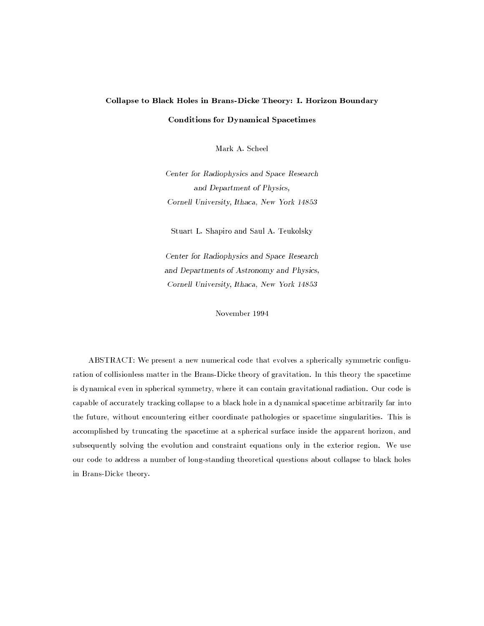# Collapse to Black Holes in Brans-Dicke Theory: I. Horizon Boundary Conditions for Dynamical Spacetimes

Mark A. Scheel

Center for Radiophysics and Space Research and Department of Physics, Cornell University, Ithaca, New York 14853

Stuart L. Shapiro and Saul A. Teukolsky

Center for Radiophysics and Space Research and Departments of Astronomy and Physics, Cornell University, Ithaca, New York 14853

November 1994

ABSTRACT: We present a new numerical code that evolves a spherically symmetric conguration of collisionless matter in the Brans-Dicke theory of gravitation. In this theory the spacetime is dynamical even in spherical symmetry, where it can contain gravitational radiation. Our code is capable of accurately tracking collapse to a black hole in a dynamical spacetime arbitrarily far into the future, without encountering either coordinate pathologies or spacetime singularities. This is accomplished by truncating the spacetime at a spherical surface inside the apparent horizon, and subsequently solving the evolution and constraint equations only in the exterior region. We use our code to address a number of long-standing theoretical questions about collapse to black holes in Brans-Dicke theory.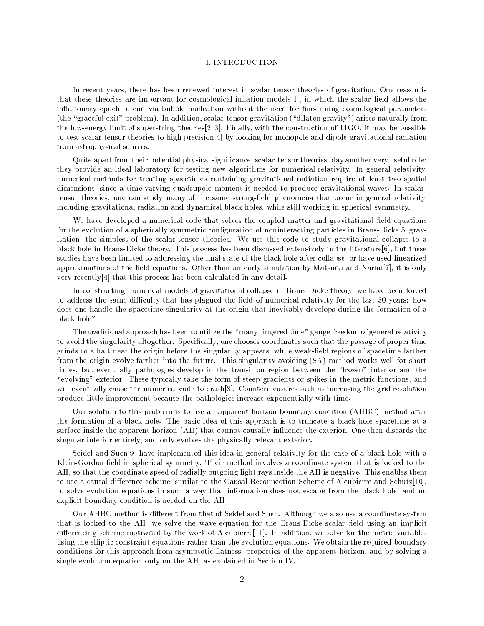#### I. INTRODUCTION

In recent years, there has been renewed interest in scalar-tensor theories of gravitation. One reason is that these theories are important for cosmological inflation models [1], in which the scalar field allows the inflationary epoch to end via bubble nucleation without the need for fine-tuning cosmological parameters (the "graceful exit" problem). In addition, scalar-tensor gravitation ("dilaton gravity") arises naturally from the low-energy limit of superstring theories[2; 3]. Finally, with the construction of LIGO, it may be possible to test scalar-tensor theories to high precision[4] by looking for monopole and dipole gravitational radiation from astrophysical sources.

Quite apart from their potential physical significance, scalar-tensor theories play another very useful role: they provide an ideal laboratory for testing new algorithms for numerical relativity. In general relativity, numerical methods for treating spacetimes containing gravitational radiation require at least two spatial dimensions, since a time-varying quadrupole moment is needed to produce gravitational waves. In scalartensor theories, one can study many of the same strong-field phenomena that occur in general relativity, including gravitational radiation and dynamical black holes, while still working in spherical symmetry.

We have developed a numerical code that solves the coupled matter and gravitational field equations for the evolution of a spherically symmetric configuration of noninteracting particles in Brans-Dicke[5] gravitation, the simplest of the scalar-tensor theories. We use this code to study gravitational collapse to a black hole in Brans-Dicke theory. This process has been discussed extensively in the literature[6], but these studies have been limited to addressing the final state of the black hole after collapse, or have used linearized approximations of the field equations. Other than an early simulation by Matsuda and Nariai[7], it is only very recently[4] that this process has been calculated in any detail.

In constructing numerical models of gravitational collapse in Brans-Dicke theory, we have been forced to address the same difficulty that has plagued the field of numerical relativity for the last 30 years: how does one handle the spacetime singularity at the origin that inevitably develops during the formation of a black hole?

The traditional approach has been to utilize the "many-fingered time" gauge freedom of general relativity to avoid the singularity altogether. Specically, one chooses coordinates such that the passage of proper time grinds to a halt near the origin before the singularity appears, while weak-field regions of spacetime farther from the origin evolve farther into the future. This singularity-avoiding (SA) method works well for short times, but eventually pathologies develop in the transition region between the "frozen" interior and the "evolving" exterior. These typically take the form of steep gradients or spikes in the metric functions, and will eventually cause the numerical code to crash[8]. Countermeasures such as increasing the grid resolution produce little improvement because the pathologies increase exponentially with time.

Our solution to this problem is to use an apparent horizon boundary condition (AHBC) method after the formation of a black hole. The basic idea of this approach is to truncate a black hole spacetime at a surface inside the apparent horizon (AH) that cannot causally influence the exterior. One then discards the singular interior entirely, and only evolves the physically relevant exterior.

Seidel and Suen[9] have implemented this idea in general relativity for the case of a black hole with a Klein-Gordon field in spherical symmetry. Their method involves a coordinate system that is locked to the AH, so that the coordinate speed of radially outgoing light rays inside the AH is negative. This enables them to use a causal difference scheme, similar to the Causal Reconnection Scheme of Alcubierre and Schutz[10], to solve evolution equations in such a way that information does not escape from the black hole, and no explicit boundary condition is needed on the AH.

Our AHBC method is different from that of Seidel and Suen. Although we also use a coordinate system that is locked to the AH, we solve the wave equation for the Brans-Dicke scalar field using an implicit differencing scheme motivated by the work of Alcubierre $[11]$ . In addition, we solve for the metric variables using the elliptic constraint equations rather than the evolution equations. We obtain the required boundary conditions for this approach from asymptotic flatness, properties of the apparent horizon, and by solving a single evolution equation only on the AH, as explained in Section IV.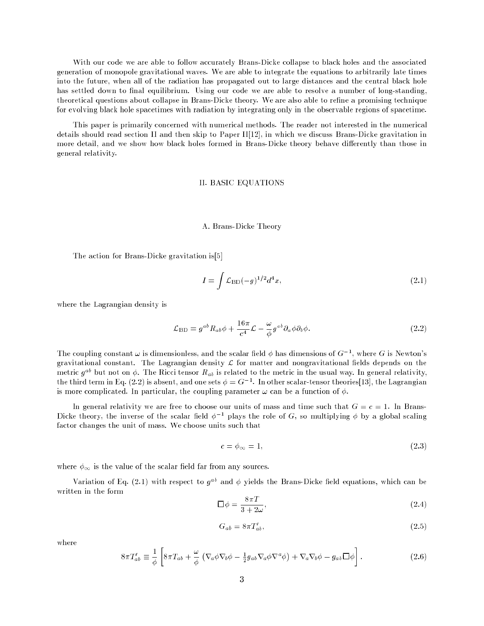With our code we are able to follow accurately Brans-Dicke collapse to black holes and the associated generation of monopole gravitational waves. We are able to integrate the equations to arbitrarily late times into the future, when all of the radiation has propagated out to large distances and the central black hole has settled down to final equilibrium. Using our code we are able to resolve a number of long-standing, theoretical questions about collapse in Brans-Dicke theory. We are also able to refine a promising technique for evolving black hole spacetimes with radiation by integrating only in the observable regions of spacetime.

This paper is primarily concerned with numerical methods. The reader not interested in the numerical details should read section II and then skip to Paper II[12], in which we discuss Brans-Dicke gravitation in more detail, and we show how black holes formed in Brans-Dicke theory behave differently than those in general relativity.

# II. BASIC EQUATIONS

#### A. Brans-Dicke Theory

The action for Brans-Dicke gravitation is[5]

$$
I = \int \mathcal{L}_{\rm BD}(-g)^{1/2} d^4x,\tag{2.1}
$$

where the Lagrangian density is

$$
\mathcal{L}_{\rm BD} = g^{ab} R_{ab} \phi + \frac{16\pi}{c^4} \mathcal{L} - \frac{\omega}{\phi} g^{ab} \partial_a \phi \partial_b \phi.
$$
 (2.2)

The coupling constant  $\omega$  is dimensionless, and the scalar field  $\phi$  has dimensions of  $G^{-1}$ , where G is Newton's gravitational constant. The Lagrangian density  $\mathcal L$  for matter and nongravitational fields depends on the metric  $g^{ab}$  but not on  $\phi$ . The Ricci tensor  $R_{ab}$  is related to the metric in the usual way. In general relativity, the third term in Eq. (2.2) is absent, and one sets  $\phi = G^{-1}$ . In other scalar-tensor theories [13], the Lagrangian is more complicated. In particular, the coupling parameter  $\omega$  can be a function of  $\phi$ .

In general relativity we are free to choose our units of mass and time such that  $G = c = 1$ . In Brans-Dicke theory, the inverse of the scalar field  $\phi^{-1}$  plays the role of G, so multiplying  $\phi$  by a global scaling factor changes the unit of mass. We choose units such that

$$
c = \phi_{\infty} = 1,\tag{2.3}
$$

where  $\phi_{\infty}$  is the value of the scalar field far from any sources.

Variation of Eq. (2.1) with respect to  $g^{ab}$  and  $\phi$  yields the Brans-Dicke field equations, which can be written in the form

$$
\Box \phi = \frac{8\pi T}{3 + 2\omega},\tag{2.4}
$$

$$
G_{ab} = 8\pi T'_{ab},\tag{2.5}
$$

where

$$
8\pi T'_{ab} \equiv \frac{1}{\phi} \left[ 8\pi T_{ab} + \frac{\omega}{\phi} \left( \nabla_a \phi \nabla_b \phi - \frac{1}{2} g_{ab} \nabla_a \phi \nabla^a \phi \right) + \nabla_a \nabla_b \phi - g_{ab} \Box \phi \right].
$$
 (2.6)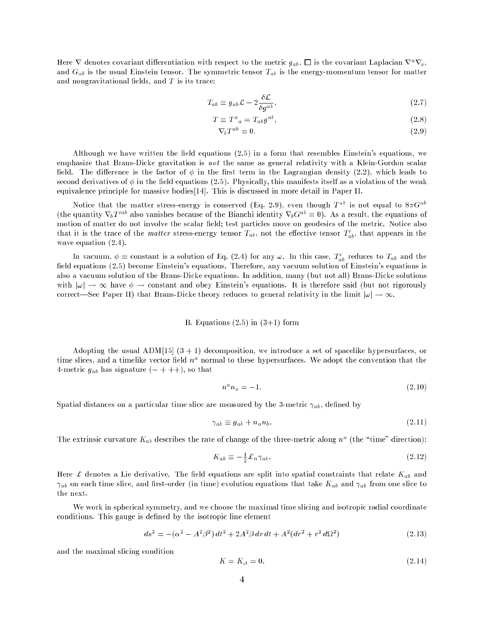Here  $\nabla$  denotes covariant differentiation with respect to the metric  $g_{ab}$ ,  $\Box$  is the covariant Laplacian  $\nabla^a \nabla_a$ , and  $G_{ab}$  is the usual Einstein tensor. The symmetric tensor  $T_{ab}$  is the energy-momentum tensor for matter and nongravitational fields, and  $T$  is its trace:

$$
T_{ab} \equiv g_{ab}\mathcal{L} - 2\frac{\delta \mathcal{L}}{\delta g^{ab}},\tag{2.7}
$$

$$
T \equiv T^a{}_a = T_{ab} g^{ab},\tag{2.8}
$$

$$
\nabla_b T^{ab} = 0. \tag{2.9}
$$

Although we have written the field equations  $(2.5)$  in a form that resembles Einstein's equations, we emphasize that Brans-Dicke gravitation is not the same as general relativity with a Klein-Gordon scalar field. The difference is the factor of  $\phi$  in the first term in the Lagrangian density (2.2), which leads to second derivatives of  $\phi$  in the field equations (2.5). Physically, this manifests itself as a violation of the weak equivalence principle for massive bodies[14]. This is discussed in more detail in Paper II.

Notice that the matter stress-energy is conserved (Eq. 2.9), even though  $T$  " is not equal to  $8\pi G$  " (the quantity  $\mathbf{v}_bT$   $\infty$  also vanishes because of the Bianchi identity  $\mathbf{v}_b\mathbf{G}^\ast = 0$ ). As a result, the equations of motion of matter do not involve the scalar field; test particles move on geodesics of the metric. Notice also that it is the trace of the *matter* stress-energy tensor  $I_{ab}$ , not the enective tensor  $I_{ab}$ , that appears in the wave equation (2.4).

In vacuum,  $\varphi =$  constant is a solution of Eq. (2.4) for any  $\omega$ . In this case,  $T_{ab}$  reduces to  $T_{ab}$  and the field equations (2.5) become Einstein's equations. Therefore, any vacuum solution of Einstein's equations is also a vacuum solution of the Brans-Dicke equations. In addition, many (but not all) Brans-Dicke solutions with  $|\omega| \to \infty$  have  $\phi \to$  constant and obey Einstein's equations. It is therefore said (but not rigorously correct—See Paper II) that Brans-Dicke theory reduces to general relativity in the limit  $|\omega| \to \infty$ .

#### B. Equations  $(2.5)$  in  $(3+1)$  form

Adopting the usual  $\text{ADM}[15]$  (3 + 1) decomposition, we introduce a set of spacelike hypersurfaces, or time sitces, and a timelike vector neid  $n^{\perp}$  normal to these hypersurfaces. We adopt the convention that the 4-metric  $g_{ab}$  has signature  $(- + + +)$ , so that

$$
n^a n_a = -1.\tag{2.10}
$$

Spatial distances on a particular time slice are measured by the 3-metric  $\gamma_{ab}$ , defined by

$$
\gamma_{ab} \equiv g_{ab} + n_a n_b. \tag{2.11}
$$

The extrinsic curvature  $K_{ab}$  describes the rate of change of the three-metric along  $n^*$  (the "time" direction):

$$
K_{ab} \equiv -\frac{1}{2} \pounds_n \gamma_{ab} \,. \tag{2.12}
$$

Here £ denotes a Lie derivative. The field equations are split into spatial constraints that relate  $K_{ab}$  and  $\gamma_{ab}$  on each time slice, and first-order (in time) evolution equations that take  $K_{ab}$  and  $\gamma_{ab}$  from one slice to the next.

We work in spherical symmetry, and we choose the maximal time slicing and isotropic radial coordinate conditions. This gauge is defined by the isotropic line element

$$
ds^{2} = -(\alpha^{2} - A^{2}\beta^{2}) dt^{2} + 2A^{2}\beta dr dt + A^{2}(dr^{2} + r^{2} d\Omega^{2})
$$
\n(2.13)

and the maximal slicing condition

$$
K = K_{,t} = 0. \t\t(2.14)
$$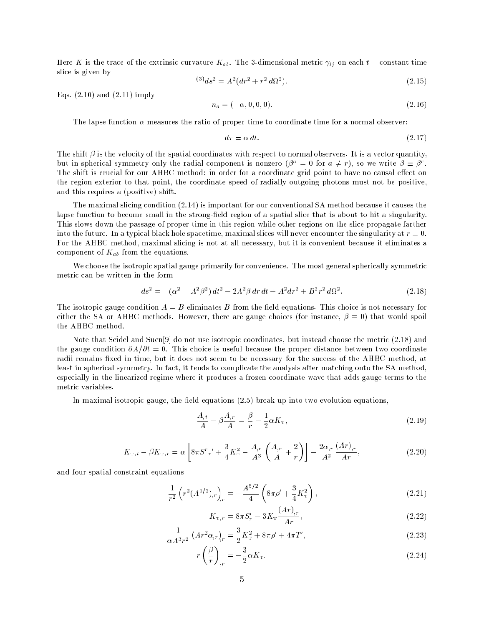Here K is the trace of the extrinsic curvature  $K_{ab}$ . The 3-dimensional metric  $\gamma_{ij}$  on each  $t =$  constant time slice is given by

$$
^{(3)}ds^2 = A^2(dr^2 + r^2 d\Omega^2). \tag{2.15}
$$

Eqs.  $(2.10)$  and  $(2.11)$  imply

$$
n_a = (-\alpha, 0, 0, 0). \tag{2.16}
$$

The lapse function  $\alpha$  measures the ratio of proper time to coordinate time for a normal observer:

$$
d\tau = \alpha \, dt. \tag{2.17}
$$

The shift  $\beta$  is the velocity of the spatial coordinates with respect to normal observers. It is a vector quantity, but in spherical symmetry only the radial component is nonzero  $(\rho^{\perp} = 0$  for  $a \neq r$ ), so we write  $\rho \equiv \rho^{\perp}$ . The shift is crucial for our AHBC method: in order for a coordinate grid point to have no causal effect on the region exterior to that point, the coordinate speed of radially outgoing photons must not be positive, and this requires a (positive) shift.

The maximal slicing condition (2.14) is important for our conventional SA method because it causes the lapse function to become small in the strong-field region of a spatial slice that is about to hit a singularity. This slows down the passage of proper time in this region while other regions on the slice propagate farther into the future. In a typical black hole spacetime, maximal slices will never encounter the singularity at  $r = 0$ . For the AHBC method, maximal slicing is not at all necessary, but it is convenient because it eliminates a component of  $K_{ab}$  from the equations.

We choose the isotropic spatial gauge primarily for convenience. The most general spherically symmetric metric can be written in the form

$$
ds^{2} = -(\alpha^{2} - A^{2}\beta^{2})dt^{2} + 2A^{2}\beta dr dt + A^{2}dr^{2} + B^{2}r^{2}d\Omega^{2}.
$$
 (2.18)

The isotropic gauge condition  $A = B$  eliminates B from the field equations. This choice is not necessary for either the SA or AHBC methods. However, there are gauge choices (for instance,  $\beta \equiv 0$ ) that would spoil the AHBC method.

Note that Seidel and Suen[9] do not use isotropic coordinates, but instead choose the metric (2.18) and the gauge condition  $\partial A/\partial t = 0$ . This choice is useful because the proper distance between two coordinate radii remains fixed in time, but it does not seem to be necessary for the success of the AHBC method, at least in spherical symmetry. In fact, it tends to complicate the analysis after matching onto the SA method, especially in the linearized regime where it produces a frozen coordinate wave that adds gauge terms to the metric variables.

In maximal isotropic gauge, the field equations  $(2.5)$  break up into two evolution equations,

$$
\frac{A_{,t}}{A} - \beta \frac{A_{,r}}{A} = \frac{\beta}{r} - \frac{1}{2} \alpha K_{\rm T},\tag{2.19}
$$

$$
K_{\mathrm{T},t} - \beta K_{\mathrm{T},r} = \alpha \left[ 8\pi S^{r}{}_{r}{}' + \frac{3}{4} K_{\mathrm{T}}^{2} - \frac{A_{,r}}{A^{3}} \left( \frac{A_{,r}}{A} + \frac{2}{r} \right) \right] - \frac{2\alpha_{,r}}{A^{2}} \frac{(Ar)_{,r}}{Ar},\tag{2.20}
$$

and four spatial constraint equations

$$
\frac{1}{r^2} \left( r^2 (A^{1/2})_{,r} \right)_{,r} = -\frac{A^{5/2}}{4} \left( 8\pi \rho' + \frac{3}{4} K_{\rm T}^2 \right),\tag{2.21}
$$

$$
K_{\mathbf{T},r} = 8\pi S'_r - 3K_{\mathbf{T}} \frac{(Ar)_{,r}}{Ar},\tag{2.22}
$$

$$
\frac{1}{\alpha A^3 r^2} \left( Ar^2 \alpha_{,r} \right)_{,r} = \frac{3}{2} K_{\rm T}^2 + 8\pi \rho' + 4\pi T', \tag{2.23}
$$

$$
r\left(\frac{\beta}{r}\right)_{,r} = -\frac{3}{2}\alpha K_{\rm T}.\tag{2.24}
$$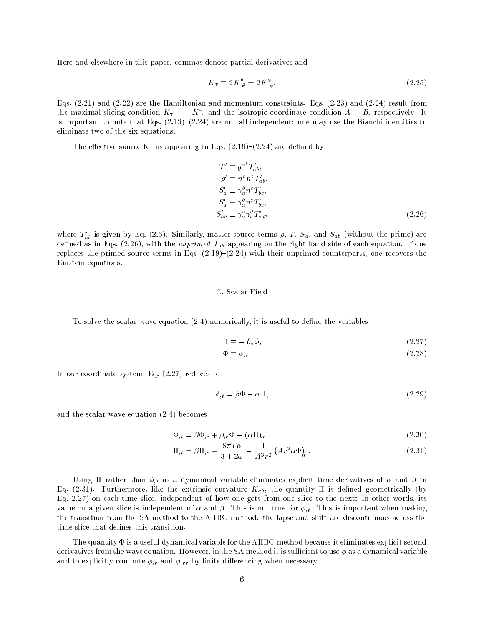Here and elsewhere in this paper, commas denote partial derivatives and

$$
K_{\rm T} \equiv 2K^{\theta}_{\ \theta} = 2K^{\phi}_{\ \phi}.\tag{2.25}
$$

Eqs. (2.21) and (2.22) are the Hamiltonian and momentum constraints. Eqs. (2.23) and (2.24) result from the maximal slicing condition  $K_T = -K \frac{1}{r}$  and the isotropic coordinate condition  $A = B$ , respectively. It is important to note that Eqs.  $(2.19)-(2.24)$  are not all independent: one may use the Bianchi identities to eliminate two of the six equations.

The effective source terms appearing in Eqs.  $(2.19)-(2.24)$  are defined by

$$
T' \equiv g^{ab} T'_{ab},
$$
  
\n
$$
\rho' \equiv n^a n^b T'_{ab},
$$
  
\n
$$
S'_a \equiv \gamma_a^b n^c T'_{bc},
$$
  
\n
$$
S'_a \equiv \gamma_a^b n^c T'_{bc},
$$
  
\n
$$
S'_{ab} \equiv \gamma_a^c \gamma_b^d T'_{cd},
$$
  
\n(2.26)

where  $T_{ab}$  is given by Eq. (2.6). Similarly, matter source terms  $\rho, T, S_a$ , and  $S_{ab}$  (without the prime) are defined as in Eqs. (2.26), with the unprimed  $T_{ab}$  appearing on the right hand side of each equation. If one replaces the primed source terms in Eqs.  $(2.19)-(2.24)$  with their unprimed counterparts, one recovers the Einstein equations.

#### C. Scalar Field

To solve the scalar wave equation  $(2.4)$  numerically, it is useful to define the variables

$$
\Pi \equiv -\pounds_n \phi,\tag{2.27}
$$

$$
\Phi \equiv \phi_{,r}.\tag{2.28}
$$

In our coordinate system, Eq. (2.27) reduces to

$$
\phi_{,t} = \beta \Phi - \alpha \Pi,\tag{2.29}
$$

and the scalar wave equation (2.4) becomes

$$
\Phi_{,t} = \beta \Phi_{,r} + \beta_{,r} \Phi - (\alpha \Pi)_{,r},\tag{2.30}
$$

$$
\Pi_{,t} = \beta \Pi_{,r} + \frac{8\pi T\alpha}{3 + 2\omega} - \frac{1}{A^3 r^2} \left( Ar^2 \alpha \Phi \right)_r. \tag{2.31}
$$

Using II rather than  $\phi_{,t}$  as a dynamical variable eliminates explicit time derivatives of  $\alpha$  and  $\beta$  in Eq. (2.31). Furthermore, like the extrinsic curvature  $K_{ab}$ , the quantity II is defined geometrically (by Eq. 2.27) on each time slice, independent of how one gets from one slice to the next: in other words, its value on a given slice is independent of  $\alpha$  and  $\beta$ . This is not true for  $\phi_{,t}$ . This is important when making the transition from the SA method to the AHBC method: the lapse and shift are discontinuous across the time slice that defines this transition.

The quantity  $\Phi$  is a useful dynamical variable for the AHBC method because it eliminates explicit second derivatives from the wave equation. However, in the SA method it is sufficient to use  $\phi$  as a dynamical variable and to explicitly compute  $\phi_{,r}$  and  $\phi_{,rr}$  by finite differencing when necessary.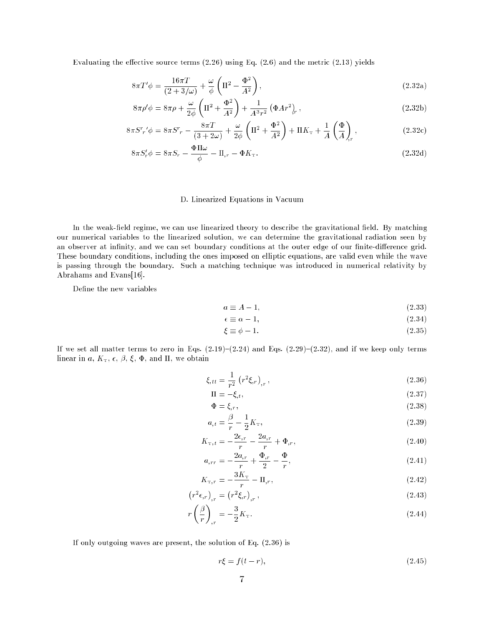Evaluating the effective source terms  $(2.26)$  using Eq.  $(2.6)$  and the metric  $(2.13)$  yields

$$
8\pi T'\phi = \frac{16\pi T}{(2+3/\omega)} + \frac{\omega}{\phi} \left(\Pi^2 - \frac{\Phi^2}{A^2}\right),\tag{2.32a}
$$

$$
8\pi\rho'\phi = 8\pi\rho + \frac{\omega}{2\phi} \left( \Pi^2 + \frac{\Phi^2}{A^2} \right) + \frac{1}{A^3r^2} \left( \Phi A r^2 \right), \qquad (2.32b)
$$

$$
8\pi S^{r}{}_{r}\phi = 8\pi S^{r}{}_{r} - \frac{8\pi T}{(3+2\omega)} + \frac{\omega}{2\phi} \left(\Pi^{2} + \frac{\Phi^{2}}{A^{2}}\right) + \Pi K_{\text{T}} + \frac{1}{A} \left(\frac{\Phi}{A}\right)_{r},\tag{2.32c}
$$

$$
8\pi S'_r \phi = 8\pi S_r - \frac{\Phi \Pi \omega}{\phi} - \Pi_{,r} - \Phi K_{\mathcal{T}}.
$$
\n(2.32d)

# D. Linearized Equations in Vacuum

In the weak-field regime, we can use linearized theory to describe the gravitational field. By matching our numerical variables to the linearized solution, we can determine the gravitational radiation seen by an observer at infinity, and we can set boundary conditions at the outer edge of our finite-difference grid. These boundary conditions, including the ones imposed on elliptic equations, are valid even while the wave is passing through the boundary. Such a matching technique was introduced in numerical relativity by Abrahams and Evans[16].

Define the new variables

$$
a \equiv A - 1,\tag{2.33}
$$

$$
\epsilon \equiv \alpha - 1,\tag{2.34}
$$

$$
\xi \equiv \phi - 1. \tag{2.35}
$$

If we set all matter terms to zero in Eqs.  $(2.19)-(2.24)$  and Eqs.  $(2.29)-(2.32)$ , and if we keep only terms linear in a,  $K_{\text{t}}$ ,  $\epsilon$ ,  $\beta$ ,  $\xi$ ,  $\Phi$ , and  $\Pi$ , we obtain

$$
\xi_{,tt} = \frac{1}{r^2} \left( r^2 \xi_{,r} \right)_{,r}, \tag{2.36}
$$

$$
\Pi = -\xi, t,\tag{2.37}
$$
\n
$$
\Phi = \xi
$$
\n
$$
(2.38)
$$

$$
\Phi = \xi_r, \tag{2.38}
$$
\n
$$
\beta = 1 \tag{2.39}
$$

$$
a_{,t} = \frac{1}{r} - \frac{1}{2} \mathbf{A}_{\mathrm{T}},\tag{2.39}
$$
\n
$$
a_{,t} = \frac{2\epsilon_{,r} - 2a_{,r}}{r} + \frac{1}{2} \tag{2.39}
$$

$$
K_{\mathbf{T},t} = -\frac{\mathbf{v}}{r} - \frac{\mathbf{v}'}{r} + \Phi_{,r},\tag{2.40}
$$
\n
$$
2a_{\mathbf{T}} - \Phi_{,\mathbf{T}} - \Phi_{,\mathbf{T}}
$$

$$
a_{,rr} = -\frac{2a_{,r}}{r} + \frac{\Psi_{,r}}{2} - \frac{\Psi}{r},\tag{2.41}
$$

$$
K_{\mathbf{T},r} = -\frac{3K_{\mathbf{T}}}{r} - \Pi_{,r},\tag{2.42}
$$

$$
\left(r^2\epsilon_{,r}\right)_{,r} = \left(r^2\xi_{,r}\right)_{,r},\tag{2.43}
$$

$$
r\left(\frac{\beta}{r}\right)_{,r} = -\frac{3}{2}K_{\rm T}.\tag{2.44}
$$

If only outgoing waves are present, the solution of Eq. (2.36) is

$$
r\xi = f(t - r),\tag{2.45}
$$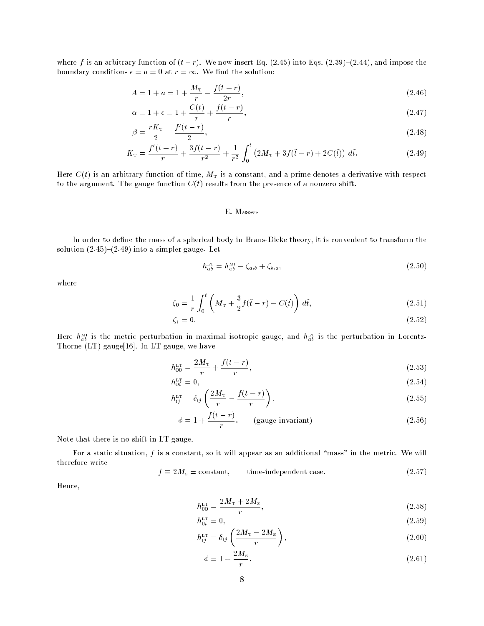where f is an arbitrary function of  $(t - r)$ . We now insert Eq. (2.45) into Eqs. (2.39)-(2.44), and impose the boundary conditions  $\epsilon = a = 0$  at  $r = \infty$ . We find the solution:

$$
A = 1 + a = 1 + \frac{M_{\rm T}}{r} - \frac{f(t - r)}{2r},\tag{2.46}
$$

$$
\alpha = 1 + \epsilon = 1 + \frac{C(t)}{r} + \frac{f(t - r)}{r},\tag{2.47}
$$

$$
\beta = \frac{rK_{\rm T}}{2} - \frac{f'(t - r)}{2},\tag{2.48}
$$

$$
K_{\rm T} = \frac{f'(t-r)}{r} + \frac{3f(t-r)}{r^2} + \frac{1}{r^3} \int_0^t \left(2M_{\rm T} + 3f(\tilde{t} - r) + 2C(\tilde{t})\right) d\tilde{t}.
$$
 (2.49)

Here  $C(t)$  is an arbitrary function of time,  $M<sub>T</sub>$  is a constant, and a prime denotes a derivative with respect to the argument. The gauge function  $C(t)$  results from the presence of a nonzero shift.

#### E. Masses

In order to define the mass of a spherical body in Brans-Dicke theory, it is convenient to transform the solution  $(2.45)-(2.49)$  into a simpler gauge. Let

$$
h_{ab}^{\text{LT}} = h_{ab}^{\text{MI}} + \zeta_{a,b} + \zeta_{b,a},\tag{2.50}
$$

where

$$
\zeta_0 = \frac{1}{r} \int_0^t \left( M_{\rm T} + \frac{3}{2} f(\tilde{t} - r) + C(\tilde{t}) \right) d\tilde{t},\tag{2.51}
$$

$$
\zeta_i = 0. \tag{2.52}
$$

Here  $h_{ab}^{\text{ML}}$  is the metric perturbation in maximal isotropic gauge, and  $h_{ab}^{\text{LT}}$  is the perturbation in Lorentz-Thorne (LT) gauge[16]. In LT gauge, we have

$$
h_{00}^{\text{LT}} = \frac{2M_{\text{T}}}{r} + \frac{f(t-r)}{r},\tag{2.53}
$$

$$
h_{0i}^{\text{LT}} = 0,\tag{2.54}
$$

$$
h_{ij}^{\text{LT}} = \delta_{ij} \left( \frac{2M_{\text{T}}}{r} - \frac{f(t-r)}{r} \right),\tag{2.55}
$$

$$
\phi = 1 + \frac{f(t - r)}{r}.
$$
 (gauge invariant) (2.56)

Note that there is no shift in LT gauge.

For a static situation,  $f$  is a constant, so it will appear as an additional "mass" in the metric. We will therefore write

$$
f \equiv 2M_{\rm s} = \text{constant}, \qquad \text{time-independent case.} \tag{2.57}
$$

Hence,

$$
h_{00}^{\text{LT}} = \frac{2M_{\text{T}} + 2M_{\text{s}}}{r},\tag{2.58}
$$

$$
h_{0i}^{\text{LT}} = 0,\tag{2.59}
$$

$$
h_{ij}^{\text{LT}} = \delta_{ij} \left( \frac{2M_{\text{T}} - 2M_{\text{s}}}{r} \right),\tag{2.60}
$$

$$
\phi = 1 + \frac{2M_s}{r}.\tag{2.61}
$$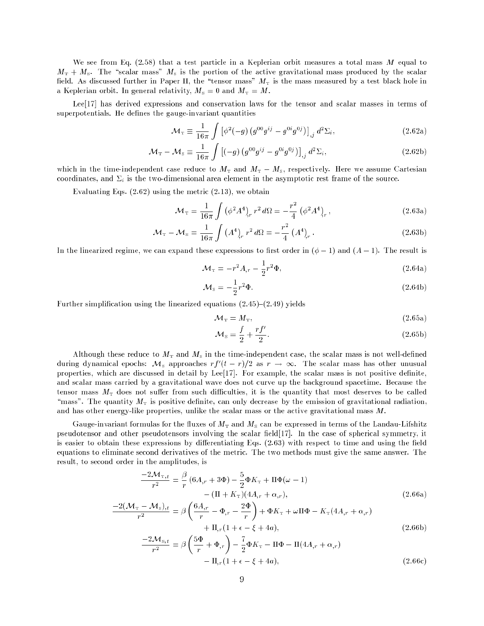We see from Eq.  $(2.58)$  that a test particle in a Keplerian orbit measures a total mass M equal to  $M<sub>T</sub> + M<sub>s</sub>$ . The "scalar mass"  $M<sub>s</sub>$  is the portion of the active gravitational mass produced by the scalar field. As discussed further in Paper II, the "tensor mass"  $M<sub>T</sub>$  is the mass measured by a test black hole in a Keplerian orbit. In general relativity,  $M_{\rm s} = 0$  and  $M_{\rm T} = M$ .

Lee[17] has derived expressions and conservation laws for the tensor and scalar masses in terms of superpotentials. He defines the gauge-invariant quantities

$$
\mathcal{M}_{\rm T} \equiv \frac{1}{16\pi} \int \left[ \phi^2(-g) \left( g^{00} g^{ij} - g^{0i} g^{0j} \right) \right]_{,j} d^2 \Sigma_i, \tag{2.62a}
$$

$$
\mathcal{M}_{\rm T} - \mathcal{M}_{\rm s} \equiv \frac{1}{16\pi} \int \left[ (-g) \left( g^{00} g^{ij} - g^{0i} g^{0j} \right) \right]_{,j} d^2 \Sigma_i, \tag{2.62b}
$$

which in the time-independent case reduce to  $M<sub>T</sub>$  and  $M<sub>T</sub> - M<sub>s</sub>$ , respectively. Here we assume Cartesian coordinates, and  $\Sigma_i$  is the two-dimensional area element in the asymptotic rest frame of the source.

Evaluating Eqs.  $(2.62)$  using the metric  $(2.13)$ , we obtain

$$
\mathcal{M}_{\rm T} = \frac{1}{16\pi} \int \left( \phi^2 A^4 \right)_r r^2 d\Omega = -\frac{r^2}{4} \left( \phi^2 A^4 \right)_r, \tag{2.63a}
$$

$$
\mathcal{M}_{\rm T} - \mathcal{M}_{\rm s} = \frac{1}{16\pi} \int \left( A^4 \right)_r r^2 \, d\Omega = -\frac{r^2}{4} \left( A^4 \right)_r. \tag{2.63b}
$$

In the linearized regime, we can expand these expressions to first order in  $(\phi - 1)$  and  $(A - 1)$ . The result is

$$
\mathcal{M}_{\rm T} = -r^2 A_{,r} - \frac{1}{2}r^2 \Phi,
$$
\n(2.64a)

$$
\mathcal{M}_{\rm s} = -\frac{1}{2}r^2\Phi. \tag{2.64b}
$$

Further simplification using the linearized equations  $(2.45)-(2.49)$  yields

$$
\mathcal{M}_{\rm T} = M_{\rm T},\tag{2.65a}
$$

$$
\mathcal{M}_{\rm s} = \frac{f}{2} + \frac{rf'}{2}.\tag{2.65b}
$$

Although these reduce to  $M_{\rm T}$  and  $M_{\rm s}$  in the time-independent case, the scalar mass is not well-defined during dynamical epochs:  $m_s$  approaches  $r_f$  ( $t=r$ )/2 as  $r$   $\rightarrow$   $\infty$ . The scalar mass has other unusual properties, which are discussed in detail by Lee $[17]$ . For example, the scalar mass is not positive definite, and scalar mass carried by a gravitational wave does not curve up the background spacetime. Because the tensor mass  $M<sub>T</sub>$  does not suffer from such difficulties, it is the quantity that most deserves to be called "mass". The quantity  $M<sub>T</sub>$  is positive definite, can only decrease by the emission of gravitational radiation, and has other energy-like properties, unlike the scalar mass or the active gravitational mass M.

Gauge-invariant formulas for the fluxes of  $M<sub>T</sub>$  and  $M<sub>S</sub>$  can be expressed in terms of the Landau-Lifshitz pseudotensor and other pseudotensors involving the scalar field [17]. In the case of spherical symmetry, it is easier to obtain these expressions by differentiating Eqs.  $(2.63)$  with respect to time and using the field equations to eliminate second derivatives of the metric. The two methods must give the same answer. The result, to second order in the amplitudes, is

$$
\frac{-2\mathcal{M}_{\text{T},t}}{r^2} = \frac{\beta}{r} (6A_{,r} + 3\Phi) - \frac{5}{2} \Phi K_{\text{T}} + \Pi \Phi(\omega - 1) - (\Pi + K_{\text{T}})(4A_{,r} + \alpha_{,r}),
$$
\n
$$
(M_{\text{T}} - M_{\text{T}}) + \frac{6A}{r^2} + \frac{2\Phi}{r^2}.
$$
\n(2.66a)

$$
\frac{-2(\mathcal{M}_{\rm T} - \mathcal{M}_{\rm s})_{,t}}{r^2} = \beta \left( \frac{6A_{,r}}{r} - \Phi_{,r} - \frac{2\Phi}{r} \right) + \Phi K_{\rm T} + \omega \Pi \Phi - K_{\rm T}(4A_{,r} + \alpha_{,r}) + \Pi_{,r}(1 + \epsilon - \xi + 4a),\tag{2.66b}
$$

$$
\frac{-2\mathcal{M}_{s,t}}{r^2} = \beta \left( \frac{5\Phi}{r} + \Phi_{,r} \right) - \frac{7}{2} \Phi K_{\mathcal{T}} - \Pi \Phi - \Pi (4A_{,r} + \alpha_{,r})
$$

$$
- \Pi_{,r} (1 + \epsilon - \xi + 4a), \tag{2.66c}
$$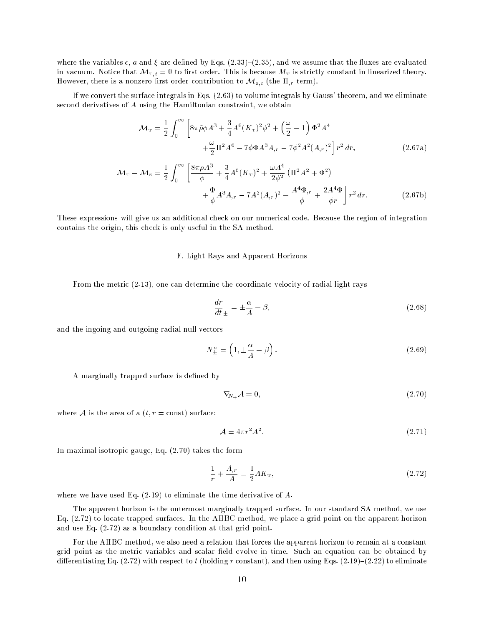where the variables  $\epsilon$ , a and  $\zeta$  are defined by Eqs. (2.33)–(2.35), and we assume that the fluxes are evaluated in vacuum. Notice that  $\mathcal{M}_{T,t} = 0$  to first order. This is because  $M_T$  is strictly constant in linearized theory. However, there is a nonzero first-order contribution to  $\mathcal{M}_{s,t}$  (the  $\Pi_{,r}$  term).

If we convert the surface integrals in Eqs. (2.63) to volume integrals by Gauss' theorem, and we eliminate second derivatives of A using the Hamiltonian constraint, we obtain

$$
\mathcal{M}_{\rm T} = \frac{1}{2} \int_0^{\infty} \left[ 8\pi \tilde{\rho} \phi A^3 + \frac{3}{4} A^6 (K_{\rm T})^2 \phi^2 + \left( \frac{\omega}{2} - 1 \right) \Phi^2 A^4 \right. \\ \left. + \frac{\omega}{2} \Pi^2 A^6 - 7 \phi \Phi A^3 A_{,r} - 7 \phi^2 A^2 (A_{,r})^2 \right] r^2 dr, \tag{2.67a}
$$

$$
\mathcal{M}_{\rm T} - \mathcal{M}_{\rm s} = \frac{1}{2} \int_0^{\infty} \left[ \frac{8\pi\tilde{\rho}A^3}{\phi} + \frac{3}{4}A^6(K_{\rm T})^2 + \frac{\omega A^4}{2\phi^2} \left( \Pi^2 A^2 + \Phi^2 \right) + \frac{\Phi}{\phi}A^3 A_{,r} - 7A^2(A_{,r})^2 + \frac{A^4 \Phi_{,r}}{\phi} + \frac{2A^4 \Phi}{\phi r} \right] r^2 dr.
$$
 (2.67b)

These expressions will give us an additional check on our numerical code. Because the region of integration contains the origin, this check is only useful in the SA method.

#### F. Light Rays and Apparent Horizons

From the metric (2.13), one can determine the coordinate velocity of radial light rays

$$
\frac{dr}{dt}_{\pm} = \pm \frac{\alpha}{A} - \beta,\tag{2.68}
$$

and the ingoing and outgoing radial null vectors

$$
N_{\pm}^{a} = \left(1, \pm \frac{\alpha}{A} - \beta\right). \tag{2.69}
$$

A marginally trapped surface is defined by

$$
\nabla_{N_+} \mathcal{A} = 0, \tag{2.70}
$$

where A is the area of a  $(t, r = \text{const})$  surface:

$$
\mathcal{A} = 4\pi r^2 A^2. \tag{2.71}
$$

In maximal isotropic gauge, Eq. (2.70) takes the form

$$
\frac{1}{r} + \frac{A_{,r}}{A} = \frac{1}{2}AK_{\rm T},\tag{2.72}
$$

where we have used Eq.  $(2.19)$  to eliminate the time derivative of A.

The apparent horizon is the outermost marginally trapped surface. In our standard SA method, we use Eq. (2.72) to locate trapped surfaces. In the AHBC method, we place a grid point on the apparent horizon and use Eq. (2.72) as a boundary condition at that grid point.

For the AHBC method, we also need a relation that forces the apparent horizon to remain at a constant grid point as the metric variables and scalar field evolve in time. Such an equation can be obtained by differentiating Eq.  $(2.72)$  with respect to t (holding r constant), and then using Eqs.  $(2.19)-(2.22)$  to eliminate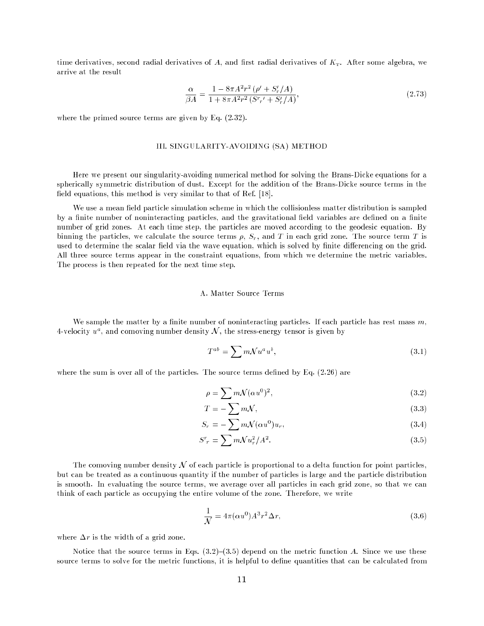time derivatives, second radial derivatives of A, and first radial derivatives of  $K<sub>T</sub>$ . After some algebra, we arrive at the result

$$
\frac{\alpha}{\beta A} = \frac{1 - 8\pi A^2 r^2 (\rho' + S'_r/A)}{1 + 8\pi A^2 r^2 (S^r r' + S'_r/A)},
$$
\n(2.73)

where the primed source terms are given by Eq. (2.32).

# III. SINGULARITY-AVOIDING (SA) METHOD

Here we present our singularity-avoiding numerical method for solving the Brans-Dicke equations for a spherically symmetric distribution of dust. Except for the addition of the Brans-Dicke source terms in the field equations, this method is very similar to that of Ref. [18].

We use a mean field particle simulation scheme in which the collisionless matter distribution is sampled by a finite number of noninteracting particles, and the gravitational field variables are defined on a finite number of grid zones. At each time step, the particles are moved according to the geodesic equation. By binning the particles, we calculate the source terms  $\rho$ ,  $S_r$ , and T in each grid zone. The source term T is used to determine the scalar field via the wave equation, which is solved by finite differencing on the grid. All three source terms appear in the constraint equations, from which we determine the metric variables. The process is then repeated for the next time step.

We sample the matter by a finite number of noninteracting particles. If each particle has rest mass  $m$ ,  $4$ -velocity  $u$ ), and comoving number density  $\cal N$  , the stress-energy tensor is given by

$$
T^{ab} = \sum m \mathcal{N} u^a u^b, \qquad (3.1)
$$

where the sum is over all of the particles. The source terms defined by Eq.  $(2.26)$  are

$$
\rho = \sum m \mathcal{N}(\alpha u^0)^2, \qquad (3.2)
$$

$$
T = -\sum m\mathcal{N},\tag{3.3}
$$

$$
S_r = -\sum m\mathcal{N}(\alpha u^0)u_r,\tag{3.4}
$$

$$
S^r{}_r = \sum m \mathcal{N} u_r^2 / A^2. \tag{3.5}
$$

The comoving number density  $\mathcal N$  of each particle is proportional to a delta function for point particles, but can be treated as a continuous quantity if the number of particles is large and the particle distribution is smooth. In evaluating the source terms, we average over all particles in each grid zone, so that we can think of each particle as occupying the entire volume of the zone. Therefore, we write

$$
\frac{1}{\mathcal{N}} = 4\pi(\alpha u^0) A^3 r^2 \Delta r,\tag{3.6}
$$

where  $\Delta r$  is the width of a grid zone.

Notice that the source terms in Eqs.  $(3.2)-(3.5)$  depend on the metric function A. Since we use these source terms to solve for the metric functions, it is helpful to define quantities that can be calculated from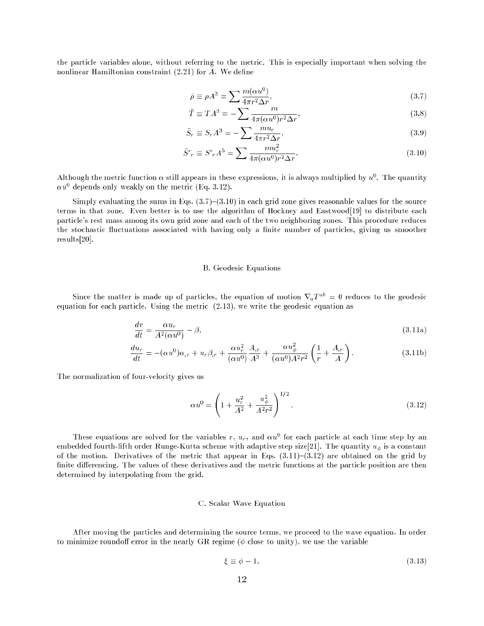the particle variables alone, without referring to the metric. This is especially important when solving the nonlinear Hamiltonian constraint (2.21) for A. We define

$$
\tilde{\rho} \equiv \rho A^3 = \sum \frac{m(\alpha u^0)}{4\pi r^2 \Delta r},\tag{3.7}
$$

$$
\tilde{T} \equiv T A^3 = -\sum \frac{m}{4\pi (\alpha u^0) r^2 \Delta r},\tag{3.8}
$$

$$
\tilde{S}_r \equiv S_r A^3 = -\sum \frac{m u_r}{4\pi r^2 \Delta r},\tag{3.9}
$$

$$
\tilde{S}^r{}_r \equiv S^r{}_r A^5 = \sum \frac{m u_r^2}{4\pi (\alpha u^0) r^2 \Delta r}.\tag{3.10}
$$

Although the metric function  $\alpha$  still appears in these expressions, it is always multiplied by  $u^0$ . The quantity  $\alpha u^0$  depends only weakly on the metric (Eq. 3.12).

Simply evaluating the sums in Eqs.  $(3.7)-(3.10)$  in each grid zone gives reasonable values for the source terms in that zone. Even better is to use the algorithm of Hockney and Eastwood[19] to distribute each particle's rest mass among its own grid zone and each of the two neighboring zones. This procedure reduces the stochastic fluctuations associated with having only a finite number of particles, giving us smoother results[20].

#### B. Geodesic Equations

Since the matter is made up of particles, the equation of motion  $\nabla_a T^{ab} = 0$  reduces to the geodesic equation for each particle. Using the metric (2.13), we write the geodesic equation as

$$
\frac{dr}{dt} = \frac{\alpha u_r}{A^2(\alpha u^0)} - \beta,\tag{3.11a}
$$

$$
\frac{du_r}{dt} = -(\alpha u^0)\alpha_{,r} + u_r\beta_{,r} + \frac{\alpha u_r^2}{(\alpha u^0)}\frac{A_{,r}}{A^3} + \frac{\alpha u_\phi^2}{(\alpha u^0)A^2r^2} \left(\frac{1}{r} + \frac{A_{,r}}{A}\right). \tag{3.11b}
$$

The normalization of four-velocity gives us

$$
\alpha u^0 = \left(1 + \frac{u_r^2}{A^2} + \frac{u_\phi^2}{A^2 r^2}\right)^{1/2}.
$$
\n(3.12)

These equations are solved for the variables r,  $u_r$ , and  $\alpha u^0$  for each particle at each time step by an embedded fourth-fifth order Runge-Kutta scheme with adaptive step size[21]. The quantity  $u_{\phi}$  is a constant of the motion. Derivatives of the metric that appear in Eqs.  $(3.11)-(3.12)$  are obtained on the grid by finite differencing. The values of these derivatives and the metric functions at the particle position are then determined by interpolating from the grid.

#### C. Scalar Wave Equation

After moving the particles and determining the source terms, we proceed to the wave equation. In order to minimize roundoff error in the nearly GR regime ( $\phi$  close to unity), we use the variable

$$
\xi \equiv \phi - 1. \tag{3.13}
$$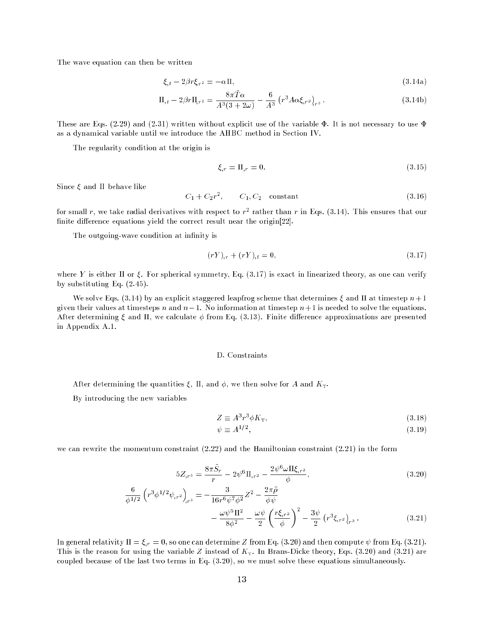The wave equation can then be written

$$
\xi_{,t} - 2\beta r \xi_{,r2} = -\alpha \Pi,\tag{3.14a}
$$

$$
\Pi_{,t} - 2\beta r \Pi_{,r^2} = \frac{8\pi T\alpha}{A^3 (3+2\omega)} - \frac{6}{A^3} \left( r^3 A \alpha \xi_{,r^2} \right)_{r^3} . \tag{3.14b}
$$

These are Eqs. (2.29) and (2.31) written without explicit use of the variable  $\Phi$ . It is not necessary to use  $\Phi$ as a dynamical variable until we introduce the AHBC method in Section IV.

The regularity condition at the origin is

$$
\xi_{,r} = \Pi_{,r} = 0. \tag{3.15}
$$

Since  $\xi$  and  $\Pi$  behave like

$$
C_1 + C_2 r^2, \t C_1, C_2 \t constant \t (3.16)
$$

for small r, we take radial derivatives with respect to  $r^2$  rather than r in Eqs. (3.14). This ensures that our finite difference equations yield the correct result near the origin[22].

The outgoing-wave condition at infinity is

$$
(rY)_{,r} + (rY)_{,t} = 0,\t\t(3.17)
$$

where Y is either  $\Pi$  or  $\xi$ . For spherical symmetry, Eq. (3.17) is exact in linearized theory, as one can verify by substituting Eq. (2.45).

We solve Eqs. (3.14) by an explicit staggered leapfrog scheme that determines  $\xi$  and  $\Pi$  at timestep  $n+1$ given their values at timesteps n and  $n-1$ . No information at timestep  $n+1$  is needed to solve the equations. After determining  $\xi$  and  $\Pi$ , we calculate  $\phi$  from Eq. (3.13). Finite difference approximations are presented in Appendix A.1.

#### D. Constraints

After determining the quantities  $\xi$ ,  $\Pi$ , and  $\phi$ , we then solve for A and  $K<sub>T</sub>$ .

By introducing the new variables

$$
Z \equiv A^3 r^3 \phi K_{\rm T},\tag{3.18}
$$

$$
\psi \equiv A^{1/2},\tag{3.19}
$$

we can rewrite the momentum constraint (2.22) and the Hamiltonian constraint (2.21) in the form

$$
5Z_{,r^5} = \frac{8\pi \tilde{S}_r}{r} - 2\psi^6 \Pi_{,r^2} - \frac{2\psi^6 \omega \Pi \xi_{,r^2}}{\phi},\tag{3.20}
$$

$$
\frac{6}{\phi^{1/2}} \left( r^3 \phi^{1/2} \psi_{,r^2} \right)_{,r^3} = -\frac{3}{16r^6 \psi^7 \phi^2} Z^2 - \frac{2\pi \tilde{\rho}}{\phi \psi} \n- \frac{\omega \psi^5 \Pi^2}{8\phi^2} - \frac{\omega \psi}{2} \left( \frac{r\xi_{,r^2}}{\phi} \right)^2 - \frac{3\psi}{2} \left( r^3 \xi_{,r^2} \right)_{,r^3} .
$$
\n(3.21)

In general relativity  $\Pi = \xi_r = 0$ , so one can determine Z from Eq. (3.20) and then compute  $\psi$  from Eq. (3.21). This is the reason for using the variable Z instead of  $K<sub>T</sub>$ . In Brans-Dicke theory, Eqs. (3.20) and (3.21) are coupled because of the last two terms in Eq. (3.20), so we must solve these equations simultaneously.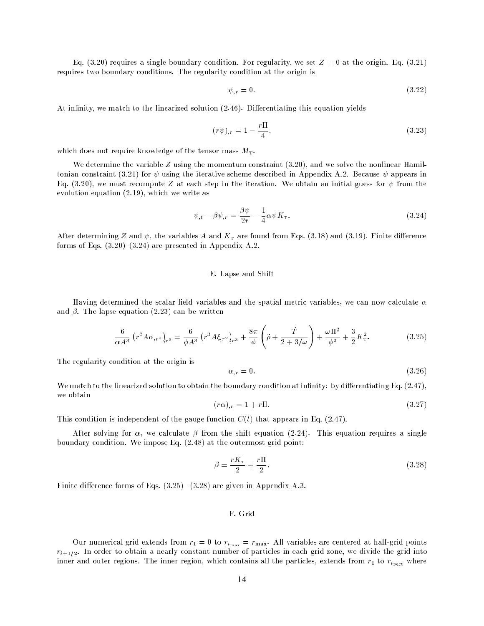Eq. (3.20) requires a single boundary condition. For regularity, we set  $Z = 0$  at the origin. Eq. (3.21) requires two boundary conditions. The regularity condition at the origin is

$$
\psi_{,r} = 0.\tag{3.22}
$$

At infinity, we match to the linearized solution (2.46). Differentiating this equation yields

$$
(r\psi)_{,r} = 1 - \frac{r\Pi}{4},\tag{3.23}
$$

which does not require knowledge of the tensor mass  $M_{\text{T}}$ .

We determine the variable  $Z$  using the momentum constraint  $(3.20)$ , and we solve the nonlinear Hamiltonian constraint (3.21) for  $\psi$  using the iterative scheme described in Appendix A.2. Because  $\psi$  appears in Eq. (3.20), we must recompute Z at each step in the iteration. We obtain an initial guess for  $\psi$  from the evolution equation (2.19), which we write as

$$
\psi_{,t} - \beta \psi_{,r} = \frac{\beta \psi}{2r} - \frac{1}{4} \alpha \psi K_{\mathcal{T}}.
$$
\n(3.24)

After determining Z and  $\psi$ , the variables A and  $K<sub>T</sub>$  are found from Eqs. (3.18) and (3.19). Finite difference forms of Eqs.  $(3.20)-(3.24)$  are presented in Appendix A.2.

#### E. Lapse and Shift

Having determined the scalar field variables and the spatial metric variables, we can now calculate  $\alpha$ and  $\beta$ . The lapse equation (2.23) can be written

$$
\frac{6}{\alpha A^3} \left( r^3 A \alpha_{,r^2} \right)_{r^3} = \frac{6}{\phi A^3} \left( r^3 A \xi_{,r^2} \right)_{r^3} + \frac{8\pi}{\phi} \left( \tilde{\rho} + \frac{\tilde{T}}{2 + 3/\omega} \right) + \frac{\omega \Pi^2}{\phi^2} + \frac{3}{2} K_{\rm T}^2. \tag{3.25}
$$

The regularity condition at the origin is

$$
\alpha_{,r} = 0.\tag{3.26}
$$

We match to the linearized solution to obtain the boundary condition at infinity: by differentiating Eq.  $(2.47)$ , we obtain

$$
(r\alpha)_{,r} = 1 + r\Pi. \tag{3.27}
$$

This condition is independent of the gauge function  $C(t)$  that appears in Eq. (2.47).

After solving for  $\alpha$ , we calculate  $\beta$  from the shift equation (2.24). This equation requires a single boundary condition. We impose Eq. (2.48) at the outermost grid point:

$$
\beta = \frac{rK_{\rm T}}{2} + \frac{r\Pi}{2}.\tag{3.28}
$$

Finite difference forms of Eqs.  $(3.25)$ –  $(3.28)$  are given in Appendix A.3.

# F. Grid

Our numerical grid extends from  $r_1 = 0$  to  $r_{i_{\text{max}}} = r_{\text{max}}$ . All variables are centered at half-grid points  $r_{i+1/2}$ . In order to obtain a nearly constant number of particles in each grid zone, we divide the grid into inner and outer regions. The inner region, which contains all the particles, extends from  $r_1$  to  $r_{i_{\text{part}}}$  where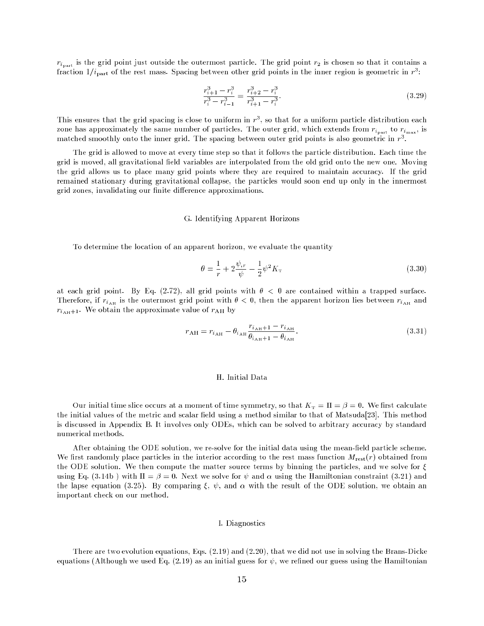$r_{i_{part}}$  is the grid point just outside the outermost particle. The grid point  $r_2$  is chosen so that it contains a fraction  $1/i_{\text{part}}$  of the rest mass. Spacing between other grid points in the inner region is geometric in  $r^3$ :

$$
\frac{r_{i+1}^3 - r_i^3}{r_i^3 - r_{i-1}^3} = \frac{r_{i+2}^3 - r_i^3}{r_{i+1}^3 - r_i^3}.\tag{3.29}
$$

This ensures that the grid spacing is close to uniform in  $r<sup>3</sup>$ , so that for a uniform particle distribution each zone has approximately the same number of particles. The outer grid, which extends from  $r_{i_{\text{max}}}$  to  $r_{i_{\text{max}}}$ , is matched smoothly onto the inner grid. The spacing between outer grid points is also geometric in  $r<sup>3</sup>$ .

The grid is allowed to move at every time step so that it follows the particle distribution. Each time the grid is moved, all gravitational field variables are interpolated from the old grid onto the new one. Moving the grid allows us to place many grid points where they are required to maintain accuracy. If the grid remained stationary during gravitational collapse, the particles would soon end up only in the innermost grid zones, invalidating our finite difference approximations.

#### G. Identifying Apparent Horizons

To determine the location of an apparent horizon, we evaluate the quantity

$$
\theta = \frac{1}{r} + 2\frac{\psi_{,r}}{\psi} - \frac{1}{2}\psi^2 K_{\rm T}
$$
\n(3.30)

at each grid point. By Eq. (2.72), all grid points with  $\theta < 0$  are contained within a trapped surface. Therefore, if  $r_{i_{\text{AH}}}$  is the outermost grid point with  $\theta < 0$ , then the apparent horizon lies between  $r_{i_{\text{AH}}}$  and  $r_{i_{\text{AH}}+1}$ . We obtain the approximate value of  $r_{\text{AH}}$  by

$$
r_{\rm AH} = r_{i_{\rm AH}} - \theta_{i_{\rm AH}} \frac{r_{i_{\rm AH}+1} - r_{i_{\rm AH}}}{\theta_{i_{\rm AH}+1} - \theta_{i_{\rm AH}}}.\tag{3.31}
$$

#### H. Initial Data

Our initial time slice occurs at a moment of time symmetry, so that  $K<sub>T</sub> = \Pi = \beta = 0$ . We first calculate the initial values of the metric and scalar field using a method similar to that of Matsuda[23]. This method is discussed in Appendix B. It involves only ODEs, which can be solved to arbitrary accuracy by standard numerical methods.

After obtaining the ODE solution, we re-solve for the initial data using the mean-field particle scheme. We first randomly place particles in the interior according to the rest mass function  $M_{\text{rest}}(r)$  obtained from the ODE solution. We then compute the matter source terms by binning the particles, and we solve for  $\xi$ using Eq. (3.14b) with  $\Pi = \beta = 0$ . Next we solve for  $\psi$  and  $\alpha$  using the Hamiltonian constraint (3.21) and the lapse equation (3.25). By comparing  $\xi$ ,  $\psi$ , and  $\alpha$  with the result of the ODE solution, we obtain an important check on our method.

#### I. Diagnostics

There are two evolution equations, Eqs. (2.19) and (2.20), that we did not use in solving the Brans-Dicke equations (Although we used Eq. (2.19) as an initial guess for  $\psi$ , we refined our guess using the Hamiltonian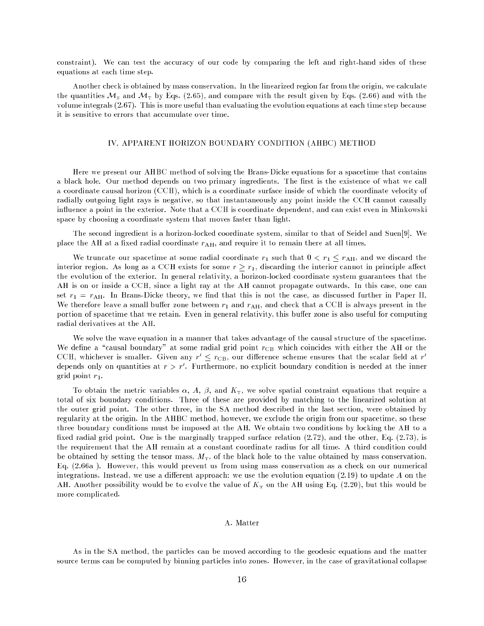constraint). We can test the accuracy of our code by comparing the left and right-hand sides of these equations at each time step.

Another check is obtained by mass conservation. In the linearized region far from the origin, we calculate the quantities  $\mathcal{M}_5$  and  $\mathcal{M}_T$  by Eqs. (2.65), and compare with the result given by Eqs. (2.66) and with the volume integrals (2.67). This is more useful than evaluating the evolution equations at each time step because it is sensitive to errors that accumulate over time.

#### IV. APPARENT HORIZON BOUNDARY CONDITION (AHBC) METHOD

Here we present our AHBC method of solving the Brans-Dicke equations for a spacetime that contains a black hole. Our method depends on two primary ingredients. The first is the existence of what we call a coordinate causal horizon (CCH), which is a coordinate surface inside of which the coordinate velocity of radially outgoing light rays is negative, so that instantaneously any point inside the CCH cannot causally in
uence a point in the exterior. Note that a CCH is coordinate dependent, and can exist even in Minkowski space by choosing a coordinate system that moves faster than light.

The second ingredient is a horizon-locked coordinate system, similar to that of Seidel and Suen[9]. We place the AH at a fixed radial coordinate  $r_{\text{AH}}$ , and require it to remain there at all times.

We truncate our spacetime at some radial coordinate  $r_1$  such that  $0 < r_1 \le r_{\text{AH}}$ , and we discard the interior region. As long as a CCH exists for some  $r \geq r_1$ , discarding the interior cannot in principle affect the evolution of the exterior. In general relativity, a horizon-locked coordinate system guarantees that the AH is on or inside a CCH, since a light ray at the AH cannot propagate outwards. In this case, one can set  $r_1 = r_{\text{AH}}$ . In Brans-Dicke theory, we find that this is not the case, as discussed further in Paper II. We therefore leave a small buffer zone between  $r_1$  and  $r_{\rm AH}$ , and check that a CCH is always present in the portion of spacetime that we retain. Even in general relativity, this buffer zone is also useful for computing radial derivatives at the AH.

We solve the wave equation in a manner that takes advantage of the causal structure of the spacetime. We define a "causal boundary" at some radial grid point  $r_{CB}$  which coincides with either the AH or the CCH, whichever is smaller. Given any  $r~\leq r_{\rm CB}$ , our difference scheme ensures that the scalar field at  $r$ depends only on quantities at  $r > r$  . Furthermore, no explicit boundary condition is needed at the inner grid point  $r_1$ .

To obtain the metric variables  $\alpha$ , A,  $\beta$ , and  $K<sub>T</sub>$ , we solve spatial constraint equations that require a total of six boundary conditions. Three of these are provided by matching to the linearized solution at the outer grid point. The other three, in the SA method described in the last section, were obtained by regularity at the origin. In the AHBC method, however, we exclude the origin from our spacetime, so these three boundary conditions must be imposed at the AH. We obtain two conditions by locking the AH to a fixed radial grid point. One is the marginally trapped surface relation  $(2.72)$ , and the other, Eq.  $(2.73)$ , is the requirement that the AH remain at a constant coordinate radius for all time. A third condition could be obtained by setting the tensor mass,  $M<sub>T</sub>$ , of the black hole to the value obtained by mass conservation, Eq. (2.66a ). However, this would prevent us from using mass conservation as a check on our numerical integrations. Instead, we use a different approach: we use the evolution equation  $(2.19)$  to update A on the AH. Another possibility would be to evolve the value of  $K<sub>T</sub>$  on the AH using Eq. (2.20), but this would be more complicated.

#### A. Matter

As in the SA method, the particles can be moved according to the geodesic equations and the matter source terms can be computed by binning particles into zones. However, in the case of gravitational collapse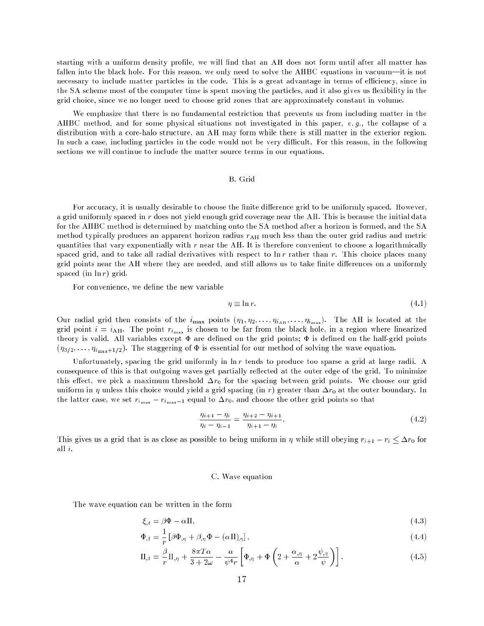starting with a uniform density profile, we will find that an AH does not form until after all matter has fallen into the black hole. For this reason, we only need to solve the AHBC equations in vacuum—it is not necessary to include matter particles in the code. This is a great advantage in terms of efficiency, since in the SA scheme most of the computer time is spent moving the particles, and it also gives us flexibility in the grid choice, since we no longer need to choose grid zones that are approximately constant in volume.

We emphasize that there is no fundamental restriction that prevents us from including matter in the AHBC method, and for some physical situations not investigated in this paper, e. g., the collapse of a distribution with a core-halo structure, an AH may form while there is still matter in the exterior region. In such a case, including particles in the code would not be very difficult. For this reason, in the following sections we will continue to include the matter source terms in our equations.

#### B. Grid

For accuracy, it is usually desirable to choose the finite difference grid to be uniformly spaced. However, a grid uniformly spaced in r does not yield enough grid coverage near the AH. This is because the initial data for the AHBC method is determined by matching onto the SA method after a horizon is formed, and the SA method typically produces an apparent horizon radius  $r_{\text{AH}}$  much less than the outer grid radius and metric quantities that vary exponentially with r near the AH. It is therefore convenient to choose a logarithmically spaced grid, and to take all radial derivatives with respect to  $\ln r$  rather than r. This choice places many grid points near the AH where they are needed, and still allows us to take finite differences on a uniformly spaced (in  $\ln r$ ) grid.

For convenience, we define the new variable

$$
\eta \equiv \ln r. \tag{4.1}
$$

Our radial grid then consists of the  $i_{\max}$  points  $(\eta_1, \eta_2, \ldots, \eta_{i_{\text{AH}}}, \ldots, \eta_{i_{\text{max}}})$ . The AH is located at the grid point  $i = i_{\text{AH}}$ . The point  $r_{i_{\text{max}}}$  is chosen to be far from the black hole, in a region where linearized theory is valid. All variables except  $\Phi$  are defined on the grid points;  $\Phi$  is defined on the half-grid points  $(\eta_{3/2}, \ldots, \eta_{i_{\text{max}}+1/2})$ . The staggering of  $\Phi$  is essential for our method of solving the wave equation.

Unfortunately, spacing the grid uniformly in  $\ln r$  tends to produce too sparse a grid at large radii. A consequence of this is that outgoing waves get partially reflected at the outer edge of the grid. To minimize this effect, we pick a maximum threshold  $\Delta r_0$  for the spacing between grid points. We choose our grid uniform in  $\eta$  unless this choice would yield a grid spacing (in r) greater than  $\Delta r_0$  at the outer boundary. In the latter case, we set  $r_{i_{\text{max}}}-r_{i_{\text{max}}-1}$  equal to  $\Delta r_0$ , and choose the other grid points so that

$$
\frac{\eta_{i+1} - \eta_i}{\eta_i - \eta_{i-1}} = \frac{\eta_{i+2} - \eta_{i+1}}{\eta_{i+1} - \eta_i}.
$$
\n(4.2)

This gives us a grid that is as close as possible to being uniform in  $\eta$  while still obeying  $r_{i+1} - r_i \leq \Delta r_0$  for all i.

# C. Wave equation

The wave equation can be written in the form

$$
\xi_{,t} = \beta \Phi - \alpha \Pi,\tag{4.3}
$$

$$
\Phi_{,t} = \frac{1}{r} \left[ \beta \Phi_{,\eta} + \beta_{,\eta} \Phi - (\alpha \Pi)_{,\eta} \right],\tag{4.4}
$$

$$
\Pi_{,t} = \frac{\beta}{r} \Pi_{,\eta} + \frac{8\pi T \alpha}{3 + 2\omega} - \frac{\alpha}{\psi^4 r} \left[ \Phi_{,\eta} + \Phi \left( 2 + \frac{\alpha_{,\eta}}{\alpha} + 2 \frac{\psi_{,\eta}}{\psi} \right) \right]. \tag{4.5}
$$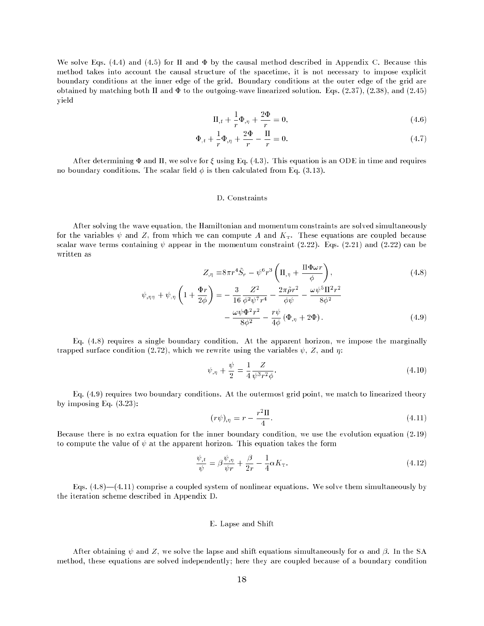We solve Eqs. (4.4) and (4.5) for  $\Pi$  and  $\Phi$  by the causal method described in Appendix C. Because this method takes into account the causal structure of the spacetime, it is not necessary to impose explicit boundary conditions at the inner edge of the grid. Boundary conditions at the outer edge of the grid are obtained by matching both  $\Pi$  and  $\Phi$  to the outgoing-wave linearized solution. Eqs. (2.37), (2.38), and (2.45) yield

$$
\Pi_{,t} + \frac{1}{r}\Phi_{,\eta} + \frac{2\Phi}{r} = 0,\tag{4.6}
$$

$$
\Phi_{,t} + \frac{1}{r}\Phi_{,\eta} + \frac{2\Phi}{r} - \frac{\Pi}{r} = 0.
$$
\n(4.7)

After determining  $\Phi$  and  $\Pi$ , we solve for  $\xi$  using Eq. (4.3). This equation is an ODE in time and requires no boundary conditions. The scalar field  $\phi$  is then calculated from Eq. (3.13).

#### D. Constraints

After solving the wave equation, the Hamiltonian and momentum constraints are solved simultaneously for the variables  $\psi$  and Z, from which we can compute A and  $K<sub>T</sub>$ . These equations are coupled because scalar wave terms containing  $\psi$  appear in the momentum constraint (2.22). Eqs. (2.21) and (2.22) can be written as

$$
Z_{,\eta} = 8\pi r^4 \tilde{S}_r - \psi^6 r^3 \left(\Pi_{,\eta} + \frac{\Pi \Phi \omega r}{\phi}\right),
$$
  

$$
\psi_{,\eta\eta} + \psi_{,\eta} \left(1 + \frac{\Phi r}{2\phi}\right) = -\frac{3}{16} \frac{Z^2}{\phi^2 \psi^7 r^4} - \frac{2\pi \tilde{\rho} r^2}{\phi \psi} - \frac{\omega \psi^5 \Pi^2 r^2}{8\phi^2}
$$
 (4.8)

$$
-\frac{\omega\psi\Phi^2r^2}{8\phi^2}-\frac{r\psi}{4\phi}\left(\Phi_{,\eta}+2\Phi\right).
$$
 (4.9)

Eq. (4.8) requires a single boundary condition. At the apparent horizon, we impose the marginally trapped surface condition (2.72), which we rewrite using the variables  $\psi$ , Z, and  $\eta$ :

$$
\psi_{,\eta} + \frac{\psi}{2} = \frac{1}{4} \frac{Z}{\psi^3 r^2 \phi}.
$$
\n(4.10)

Eq. (4.9) requires two boundary conditions. At the outermost grid point, we match to linearized theory by imposing Eq. (3.23):

$$
(r\psi)_{,\eta} = r - \frac{r^2 \Pi}{4}.\tag{4.11}
$$

Because there is no extra equation for the inner boundary condition, we use the evolution equation (2.19) to compute the value of  $\psi$  at the apparent horizon. This equation takes the form

$$
\frac{\psi_{,t}}{\psi} = \beta \frac{\psi_{,\eta}}{\psi r} + \frac{\beta}{2r} - \frac{1}{4} \alpha K_{\text{T}}.
$$
\n(4.12)

Eqs.  $(4.8)$ — $(4.11)$  comprise a coupled system of nonlinear equations. We solve them simultaneously by the iteration scheme described in Appendix D.

#### E. Lapse and Shift

After obtaining  $\psi$  and Z, we solve the lapse and shift equations simultaneously for  $\alpha$  and  $\beta$ . In the SA method, these equations are solved independently; here they are coupled because of a boundary condition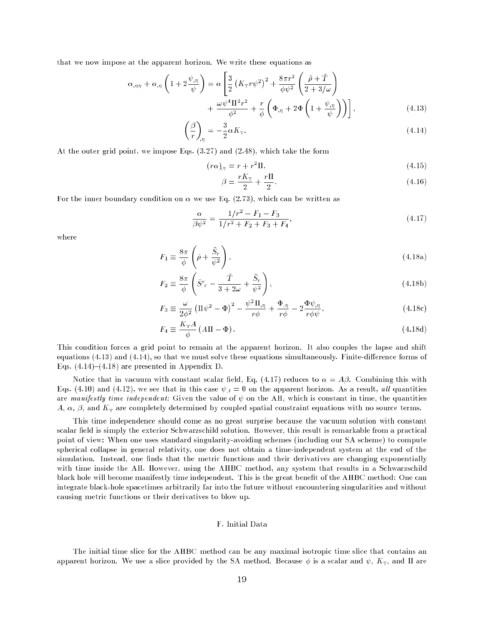that we now impose at the apparent horizon. We write these equations as

$$
\alpha_{,\eta\eta} + \alpha_{,\eta} \left( 1 + 2 \frac{\psi_{,\eta}}{\psi} \right) = \alpha \left[ \frac{3}{2} \left( K_{\text{T}} r \psi^2 \right)^2 + \frac{8\pi r^2}{\phi \psi^2} \left( \frac{\tilde{\rho} + \tilde{T}}{2 + 3/\omega} \right) + \frac{\omega \psi^4 \Pi^2 r^2}{\phi^2} + \frac{r}{\phi} \left( \Phi_{,\eta} + 2\Phi \left( 1 + \frac{\psi_{,\eta}}{\psi} \right) \right) \right],
$$
\n(4.13)

$$
\left(\frac{\beta}{r}\right)_{,\eta} = -\frac{3}{2}\alpha K_{\text{T}}.\tag{4.14}
$$

At the outer grid point, we impose Eqs. (3.27) and (2.48), which take the form

$$
(r\alpha)_{,\eta} = r + r^2 \Pi,\tag{4.15}
$$

$$
\beta = \frac{rK_{\rm T}}{2} + \frac{r\Pi}{2}.
$$
\n(4.16)

For the inner boundary condition on  $\alpha$  we use Eq. (2.73), which can be written as

$$
\frac{\alpha}{\beta \psi^2} = \frac{1/r^2 - F_1 - F_3}{1/r^2 + F_2 + F_3 + F_4},\tag{4.17}
$$

where

$$
F_1 \equiv \frac{8\pi}{\phi} \left( \tilde{\rho} + \frac{\tilde{S}_r}{\psi^2} \right),\tag{4.18a}
$$

$$
F_2 \equiv \frac{8\pi}{\phi} \left( \tilde{S}^r - \frac{\tilde{T}}{3+2\omega} + \frac{\tilde{S}_r}{\psi^2} \right),\tag{4.18b}
$$

$$
F_3 \equiv \frac{\omega}{2\phi^2} \left( \Pi \psi^2 - \Phi \right)^2 - \frac{\psi^2 \Pi_{,\eta}}{r \phi} + \frac{\Phi_{,\eta}}{r \phi} - 2 \frac{\Phi \psi_{,\eta}}{r \phi \psi}, \tag{4.18c}
$$

$$
F_4 \equiv \frac{K_{\rm T}A}{\phi} \left( A\Pi - \Phi \right). \tag{4.18d}
$$

This condition forces a grid point to remain at the apparent horizon. It also couples the lapse and shift equations  $(4.13)$  and  $(4.14)$ , so that we must solve these equations simultaneously. Finite-difference forms of Eqs.  $(4.14)-(4.18)$  are presented in Appendix D.

Notice that in vacuum with constant scalar field, Eq. (4.17) reduces to  $\alpha = A\beta$ . Combining this with Eqs. (4.10) and (4.12), we see that in this case  $\psi_{,t} = 0$  on the apparent horizon. As a result, all quantities are manifestly time independent: Given the value of  $\psi$  on the AH, which is constant in time, the quantities  $A, \alpha, \beta$ , and  $K<sub>T</sub>$  are completely determined by coupled spatial constraint equations with no source terms.

This time independence should come as no great surprise because the vacuum solution with constant scalar field is simply the exterior Schwarzschild solution. However, this result is remarkable from a practical point of view: When one uses standard singularity-avoiding schemes (including our SA scheme) to compute spherical collapse in general relativity, one does not obtain a time-independent system at the end of the simulation. Instead, one finds that the metric functions and their derivatives are changing exponentially with time inside the AH. However, using the AHBC method, any system that results in a Schwarzschild black hole will become manifestly time independent. This is the great benefit of the AHBC method: One can integrate black-hole spacetimes arbitrarily far into the future without encountering singularities and without causing metric functions or their derivatives to blow up.

# F. Initial Data

The initial time slice for the AHBC method can be any maximal isotropic time slice that contains an apparent horizon. We use a slice provided by the SA method. Because  $\phi$  is a scalar and  $\psi$ ,  $K_T$ , and  $\Pi$  are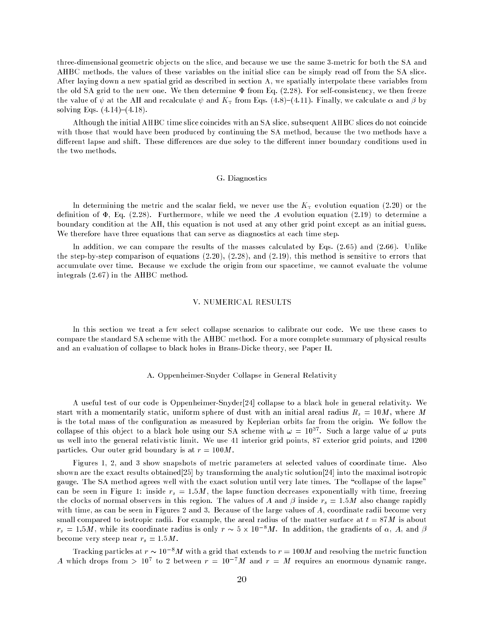three-dimensional geometric objects on the slice, and because we use the same 3-metric for both the SA and AHBC methods, the values of these variables on the initial slice can be simply read off from the SA slice. After laying down a new spatial grid as described in section A, we spatially interpolate these variables from the old SA grid to the new one. We then determine  $\Phi$  from Eq. (2.28). For self-consistency, we then freeze the value of  $\psi$  at the AH and recalculate  $\psi$  and  $K<sub>T</sub>$  from Eqs. (4.8)–(4.11). Finally, we calculate  $\alpha$  and  $\beta$  by solving Eqs.  $(4.14)-(4.18)$ .

Although the initial AHBC time slice coincides with an SA slice, subsequent AHBC slices do not coincide with those that would have been produced by continuing the SA method, because the two methods have a different lapse and shift. These differences are due soley to the different inner boundary conditions used in the two methods.

#### G. Diagnostics

In determining the metric and the scalar field, we never use the  $K<sub>T</sub>$  evolution equation (2.20) or the definition of  $\Phi$ , Eq. (2.28). Furthermore, while we need the A evolution equation (2.19) to determine a boundary condition at the AH, this equation is not used at any other grid point except as an initial guess. We therefore have three equations that can serve as diagnostics at each time step.

In addition, we can compare the results of the masses calculated by Eqs.  $(2.65)$  and  $(2.66)$ . Unlike the step-by-step comparison of equations (2.20), (2.28), and (2.19), this method is sensitive to errors that accumulate over time. Because we exclude the origin from our spacetime, we cannot evaluate the volume integrals (2.67) in the AHBC method.

#### V. NUMERICAL RESULTS

In this section we treat a few select collapse scenarios to calibrate our code. We use these cases to compare the standard SA scheme with the AHBC method. For a more complete summary of physical results and an evaluation of collapse to black holes in Brans-Dicke theory, see Paper II.

#### A. Oppenheimer-Snyder Collapse in General Relativity

A useful test of our code is Oppenheimer-Snyder[24] collapse to a black hole in general relativity. We start with a momentarily static, uniform sphere of dust with an initial areal radius  $R_s = 10M$ , where M is the total mass of the configuration as measured by Keplerian orbits far from the origin. We follow the collapse of this object to a black hole using our SA scheme with  $\omega = 10^{37}$ . Such a large value of  $\omega$  puts us well into the general relativistic limit. We use 41 interior grid points, 87 exterior grid points, and 1200 particles. Our outer grid boundary is at  $r = 100M$ .

Figures 1, 2, and 3 show snapshots of metric parameters at selected values of coordinate time. Also shown are the exact results obtained[25] by transforming the analytic solution[24] into the maximal isotropic gauge. The SA method agrees well with the exact solution until very late times. The "collapse of the lapse" can be seen in Figure 1: inside  $r_s = 1.5M$ , the lapse function decreases exponentially with time, freezing the clocks of normal observers in this region. The values of A and  $\beta$  inside  $r_s = 1.5M$  also change rapidly with time, as can be seen in Figures 2 and 3. Because of the large values of A, coordinate radii become very small compared to isotropic radii. For example, the areal radius of the matter surface at  $t = 87M$  is about  $r_s = 1.5M$ , while its coordinate radius is only  $r \sim 5 \times 10^{-8} M$ . In addition, the gradients of  $\alpha$ , A, and  $\beta$ become very steep near  $r_s = 1.5M$ .

Tracking particles at  $r \sim 10^{-8}M$  with a grid that extends to  $r = 100M$  and resolving the metric function A which drops from  $> 10^7$  to 2 between  $r = 10^{-7}M$  and  $r = M$  requires an enormous dynamic range.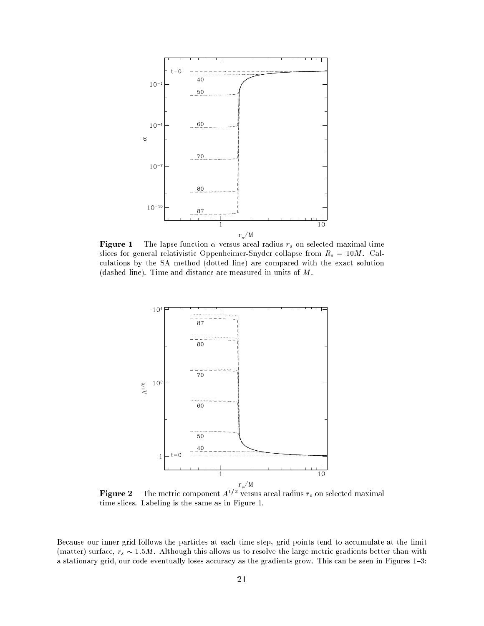

**Figure 1** The lapse function  $\alpha$  versus areal radius  $r_s$  on selected maximal time slices for general relativistic Oppenheimer-Snyder collapse from  $R_s = 10M$ . Calculations by the SA method (dotted line) are compared with the exact solution (dashed line). Time and distance are measured in units of M.



**igure 2** The metric component  $A^{1/2}$  versus areal radius  $r_s$  on selected maximal time slices. Labeling is the same as in Figure 1.

Because our inner grid follows the particles at each time step, grid points tend to accumulate at the limit (matter) surface,  $r_s \sim 1.5M$ . Although this allows us to resolve the large metric gradients better than with a stationary grid, our code eventually loses accuracy as the gradients grow. This can be seen in Figures 1{3: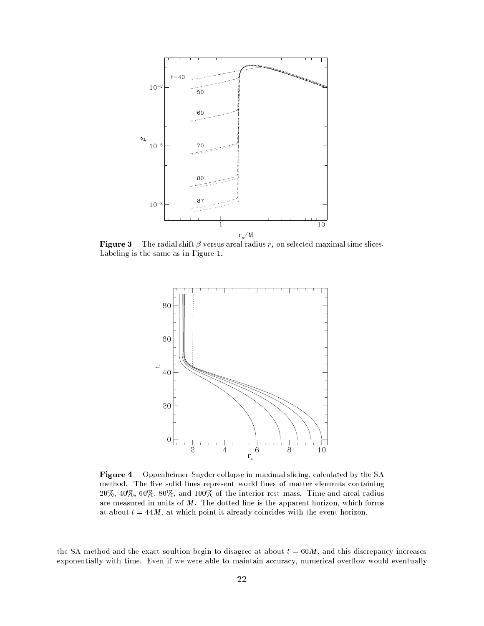

**Figure 3** The radial shift  $\beta$  versus areal radius  $r_s$  on selected maximal time slices. Labeling is the same as in Figure 1.



Figure 4 Oppenheimer-Snyder collapse in maximal slicing, calculated by the SA method. The five solid lines represent world lines of matter elements containing  $20\%, 40\%, 60\%, 80\%,$  and  $100\%$  of the interior rest mass. Time and areal radius are measured in units of  $M$ . The dotted line is the apparent horizon, which forms at about  $t = 44M$ , at which point it already coincides with the event horizon.

the SA method and the exact soultion begin to disagree at about  $t = 60M$ , and this discrepancy increases exponentially with time. Even if we were able to maintain accuracy, numerical overflow would eventually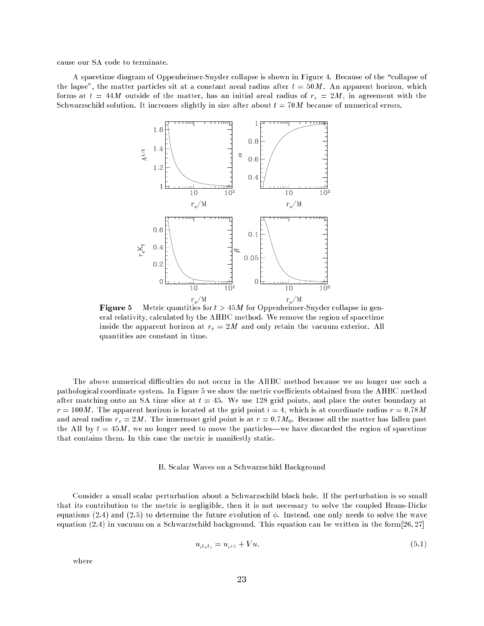cause our SA code to terminate.

A spacetime diagram of Oppenheimer-Snyder collapse is shown in Figure 4. Because of the "collapse of the lapse", the matter particles sit at a constant areal radius after  $t = 50M$ . An apparent horizon, which forms at  $t = 44M$  outside of the matter, has an initial areal radius of  $r_s = 2M$ , in agreement with the Schwarzschild solution. It increases slightly in size after about  $t = 70M$  because of numerical errors.



**Figure 5** Metric quantities for  $t > 45M$  for Oppenheimer-Snyder collapse in general relativity, calculated by the AHBC method. We remove the region of spacetime inside the apparent horizon at  $r_s = 2M$  and only retain the vacuum exterior. All quantities are constant in time.

The above numerical difficulties do not occur in the AHBC method because we no longer use such a pathological coordinate system. In Figure 5 we show the metric coefficients obtained from the AHBC method after matching onto an SA time slice at  $t = 45$ . We use 128 grid points, and place the outer boundary at  $r = 100M$ . The apparent horizon is located at the grid point  $i = 4$ , which is at coordinate radius  $r = 0.78M$ and areal radius  $r_s = 2M$ . The innermost grid point is at  $r = 0.7 M_0$ . Because all the matter has fallen past the AH by  $t = 45M$ , we no longer need to move the particles—we have discarded the region of spacetime that contains them. In this case the metric is manifestly static.

#### B. Scalar Waves on a Schwarzschild Background

Consider a small scalar perturbation about a Schwarzschild black hole. If the perturbation is so small that its contribution to the metric is negligible, then it is not necessary to solve the coupled Brans-Dicke equations (2.4) and (2.5) to determine the future evolution of  $\phi$ . Instead, one only needs to solve the wave equation (2.4) in vacuum on a Schwarzschild background. This equation can be written in the form[26; 27]

$$
u_{,t_st_s} = u_{,zz} + Vu,\tag{5.1}
$$

where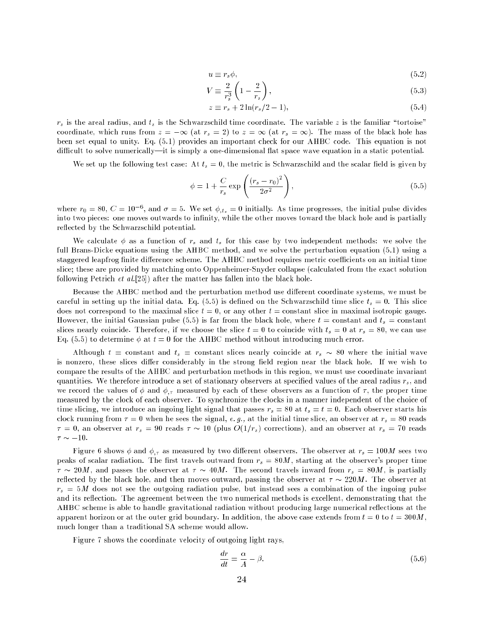$$
u \equiv r_s \phi,\tag{5.2}
$$

$$
V \equiv \frac{2}{r_s^3} \left( 1 - \frac{2}{r_s} \right),\tag{5.3}
$$

$$
z \equiv r_s + 2\ln(r_s/2 - 1),\tag{5.4}
$$

 $r_s$  is the areal radius, and  $t_s$  is the Schwarzschild time coordinate. The variable z is the familiar "tortoise" coordinate, which runs from  $z = -\infty$  (at  $r_s = 2$ ) to  $z = \infty$  (at  $r_s = \infty$ ). The mass of the black hole has been set equal to unity. Eq. (5.1) provides an important check for our AHBC code. This equation is not difficult to solve numerically—it is simply a one-dimensional flat space wave equation in a static potential.

We set up the following test case: At  $t_s = 0$ , the metric is Schwarzschild and the scalar field is given by

$$
\phi = 1 + \frac{C}{r_s} \exp\left(\frac{\left(r_s - r_0\right)^2}{2\sigma^2}\right),\tag{5.5}
$$

where  $r_0 = 80, C = 10^{-6}$ , and  $\sigma = 5$ . We set  $\phi_{,t_s} = 0$  initially. As time progresses, the initial pulse divides into two pieces: one moves outwards to infinity, while the other moves toward the black hole and is partially reflected by the Schwarzschild potential.

We calculate  $\phi$  as a function of  $r_s$  and  $t_s$  for this case by two independent methods: we solve the full Brans-Dicke equations using the AHBC method, and we solve the perturbation equation (5.1) using a staggered leapfrog finite difference scheme. The AHBC method requires metric coefficients on an initial time slice; these are provided by matching onto Oppenheimer-Snyder collapse (calculated from the exact solution following Petrich et al.[25]) after the matter has fallen into the black hole.

Because the AHBC method and the perturbation method use different coordinate systems, we must be careful in setting up the initial data. Eq.  $(5.5)$  is defined on the Schwarzschild time slice  $t_s = 0$ . This slice does not correspond to the maximal slice  $t = 0$ , or any other  $t = constant$  slice in maximal isotropic gauge. However, the initial Gaussian pulse (5.5) is far from the black hole, where  $t = constant$  and  $t<sub>s</sub> = constant$ slices nearly coincide. Therefore, if we choose the slice  $t = 0$  to coincide with  $t_s = 0$  at  $r_s = 80$ , we can use Eq. (5.5) to determine  $\phi$  at  $t = 0$  for the AHBC method without introducing much error.

Although  $t = constant$  and  $t_s = constant$  slices nearly coincide at  $r_s \sim 80$  where the initial wave is nonzero, these slices differ considerably in the strong field region near the black hole. If we wish to compare the results of the AHBC and perturbation methods in this region, we must use coordinate invariant quantities. We therefore introduce a set of stationary observers at specified values of the areal radius  $r_s$ , and we record the values of  $\phi$  and  $\phi$ , measured by each of these observers as a function of  $\tau$ , the proper time measured by the clock of each observer. To synchronize the clocks in a manner independent of the choice of time slicing, we introduce an ingoing light signal that passes  $r_s = 80$  at  $t_s = t = 0$ . Each observer starts his clock running from  $\tau = 0$  when he sees the signal, e.g., at the initial time slice, an observer at  $r_s = 80$  reads  $\tau = 0$ , an observer at  $r_s = 90$  reads  $\tau \sim 10$  (plus  $O(1/r_s)$  corrections), and an observer at  $r_s = 70$  reads  $\tau \sim -10$ .

Figure 6 shows  $\phi$  and  $\phi_{,\tau}$  as measured by two different observers. The observer at  $r_s = 100M$  sees two peaks of scalar radiation. The first travels outward from  $r_s = 80M$ , starting at the observer's proper time  $\tau \sim 20M$ , and passes the observer at  $\tau \sim 40M$ . The second travels inward from  $r_s = 80M$ , is partially reflected by the black hole, and then moves outward, passing the observer at  $\tau \sim 220M$ . The observer at  $r_s = 5M$  does not see the outgoing radiation pulse, but instead sees a combination of the ingoing pulse and its reflection. The agreement between the two numerical methods is excellent, demonstrating that the AHBC scheme is able to handle gravitational radiation without producing large numerical reflections at the apparent horizon or at the outer grid boundary. In addition, the above case extends from  $t = 0$  to  $t = 300M$ . much longer than a traditional SA scheme would allow.

Figure 7 shows the coordinate velocity of outgoing light rays,

$$
\frac{dr}{dt} = \frac{\alpha}{A} - \beta. \tag{5.6}
$$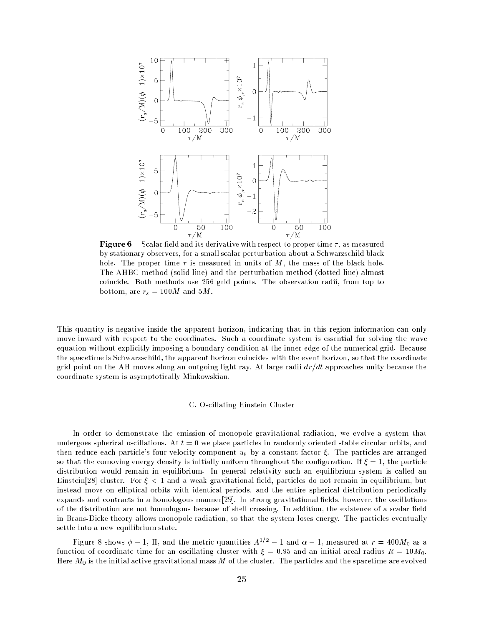

**Figure 6** Scalar field and its derivative with respect to proper time  $\tau$ , as measured by stationary observers, for a small scalar perturbation about a Schwarzschild black hole. The proper time  $\tau$  is measured in units of M, the mass of the black hole. The AHBC method (solid line) and the perturbation method (dotted line) almost coincide. Both methods use 256 grid points. The observation radii, from top to bottom, are  $r_s = 100M$  and  $5M$ .

This quantity is negative inside the apparent horizon, indicating that in this region information can only move inward with respect to the coordinates. Such a coordinate system is essential for solving the wave equation without explicitly imposing a boundary condition at the inner edge of the numerical grid. Because the spacetime is Schwarzschild, the apparent horizon coincides with the event horizon, so that the coordinate grid point on the AH moves along an outgoing light ray. At large radii  $dr/dt$  approaches unity because the coordinate system is asymptotically Minkowskian.

#### C. Oscillating Einstein Cluster

In order to demonstrate the emission of monopole gravitational radiation, we evolve a system that undergoes spherical oscillations. At  $t = 0$  we place particles in randomly oriented stable circular orbits, and then reduce each particle's four-velocity component  $u_{\theta}$  by a constant factor  $\xi$ . The particles are arranged so that the comoving energy density is initially uniform throughout the configuration. If  $\xi = 1$ , the particle distribution would remain in equilibrium. In general relativity such an equilibrium system is called an Einstein[28] cluster. For  $\xi$  < 1 and a weak gravitational field, particles do not remain in equilibrium, but instead move on elliptical orbits with identical periods, and the entire spherical distribution periodically expands and contracts in a homologous manner[29]. In strong gravitational fields, however, the oscillations of the distribution are not homologous because of shell crossing. In addition, the existence of a scalar field in Brans-Dicke theory allows monopole radiation, so that the system loses energy. The particles eventually settle into a new equilibrium state.

Figure 8 shows  $\phi - 1$ , II, and the metric quantities  $A^{1/2} - 1$  and  $\alpha - 1$ , measured at  $r = 400 M_0$  as a function of coordinate time for an oscillating cluster with  $\xi = 0.95$  and an initial areal radius  $R = 10M_0$ . Here  $M_0$  is the initial active gravitational mass M of the cluster. The particles and the spacetime are evolved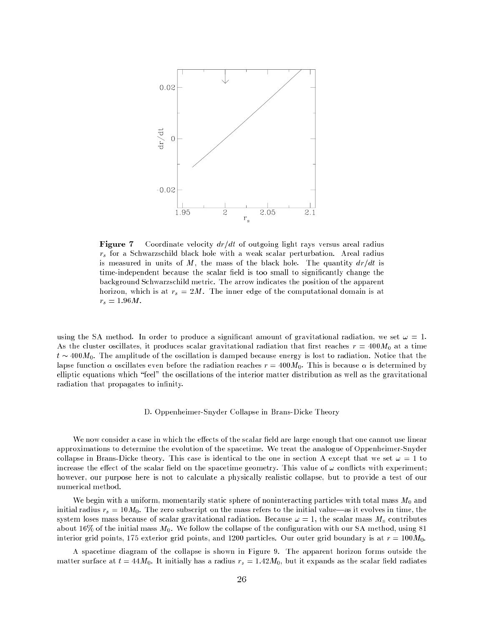

Figure 7 Coordinate velocity  $dr/dt$  of outgoing light rays versus areal radius  $r<sub>s</sub>$  for a Schwarzschild black hole with a weak scalar perturbation. Areal radius is measured in units of M, the mass of the black hole. The quantity  $dr/dt$  is time-independent because the scalar field is too small to significantly change the background Schwarzschild metric. The arrow indicates the position of the apparent horizon, which is at  $r_s = 2M$ . The inner edge of the computational domain is at  $r_s = 1.96 M$ .

using the SA method. In order to produce a significant amount of gravitational radiation, we set  $\omega = 1$ . As the cluster oscillates, it produces scalar gravitational radiation that first reaches  $r = 400M<sub>0</sub>$  at a time  $t \sim 400 M_0$ . The amplitude of the oscillation is damped because energy is lost to radiation. Notice that the lapse function  $\alpha$  oscillates even before the radiation reaches  $r = 400 M_0$ . This is because  $\alpha$  is determined by elliptic equations which \feel" the oscillations of the interior matter distribution as well as the gravitational radiation that propagates to infinity.

### D. Oppenheimer-Snyder Collapse in Brans-Dicke Theory

We now consider a case in which the effects of the scalar field are large enough that one cannot use linear approximations to determine the evolution of the spacetime. We treat the analogue of Oppenheimer-Snyder collapse in Brans-Dicke theory. This case is identical to the one in section A except that we set  $\omega = 1$  to increase the effect of the scalar field on the spacetime geometry. This value of  $\omega$  conflicts with experiment; however, our purpose here is not to calculate a physically realistic collapse, but to provide a test of our numerical method.

We begin with a uniform, momentarily static sphere of noninteracting particles with total mass  $M_0$  and initial radius  $r_s = 10M_0$ . The zero subscript on the mass refers to the initial value—as it evolves in time, the system loses mass because of scalar gravitational radiation. Because  $\omega = 1$ , the scalar mass  $M<sub>s</sub>$  contributes about 16% of the initial mass  $M_0$ . We follow the collapse of the configuration with our SA method, using 81 interior grid points, 175 exterior grid points, and 1200 particles. Our outer grid boundary is at  $r = 100M_0$ .

A spacetime diagram of the collapse is shown in Figure 9. The apparent horizon forms outside the matter surface at  $t = 44M_0$ . It initially has a radius  $r_s = 1.42M_0$ , but it expands as the scalar field radiates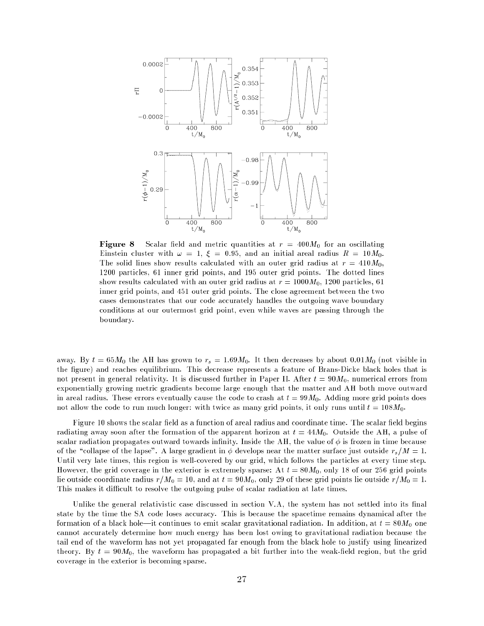

**Figure 8** Scalar field and metric quantities at  $r = 400 M_0$  for an oscillating Einstein cluster with  $\omega = 1, \xi = 0.95$ , and an initial areal radius  $R = 10 M_0$ . The solid lines show results calculated with an outer grid radius at  $r = 410M_0$ , 1200 particles, 61 inner grid points, and 195 outer grid points. The dotted lines show results calculated with an outer grid radius at  $r = 1000 M_0$ , 1200 particles, 61 inner grid points, and 451 outer grid points. The close agreement between the two cases demonstrates that our code accurately handles the outgoing wave boundary conditions at our outermost grid point, even while waves are passing through the boundary.

away. By  $t = 65M_0$  the AH has grown to  $r_s = 1.69M_0$ . It then decreases by about 0.01 $M_0$  (not visible in the figure) and reaches equilibrium. This decrease represents a feature of Brans-Dicke black holes that is not present in general relativity. It is discussed further in Paper II. After  $t = 90M_0$ , numerical errors from exponentially growing metric gradients become large enough that the matter and AH both move outward in areal radius. These errors eventually cause the code to crash at  $t = 99M_0$ . Adding more grid points does not allow the code to run much longer: with twice as many grid points, it only runs until  $t = 108M_0$ .

Figure 10 shows the scalar field as a function of areal radius and coordinate time. The scalar field begins radiating away soon after the formation of the apparent horizon at  $t = 44M_0$ . Outside the AH, a pulse of scalar radiation propagates outward towards infinity. Inside the AH, the value of  $\phi$  is frozen in time because of the "collapse of the lapse". A large gradient in  $\phi$  develops near the matter surface just outside  $r_s/M = 1$ . Until very late times, this region is well-covered by our grid, which follows the particles at every time step. However, the grid coverage in the exterior is extremely sparse: At  $t = 80M_0$ , only 18 of our 256 grid points lie outside coordinate radius  $r/M_0 = 10$ , and at  $t = 90M_0$ , only 29 of these grid points lie outside  $r/M_0 = 1$ . This makes it difficult to resolve the outgoing pulse of scalar radiation at late times.

Unlike the general relativistic case discussed in section V.A, the system has not settled into its final state by the time the SA code loses accuracy. This is because the spacetime remains dynamical after the formation of a black hole—it continues to emit scalar gravitational radiation. In addition, at  $t = 80M_0$  one cannot accurately determine how much energy has been lost owing to gravitational radiation because the tail end of the waveform has not yet propagated far enough from the black hole to justify using linearized theory. By  $t = 90M_0$ , the waveform has propagated a bit further into the weak-field region, but the grid coverage in the exterior is becoming sparse.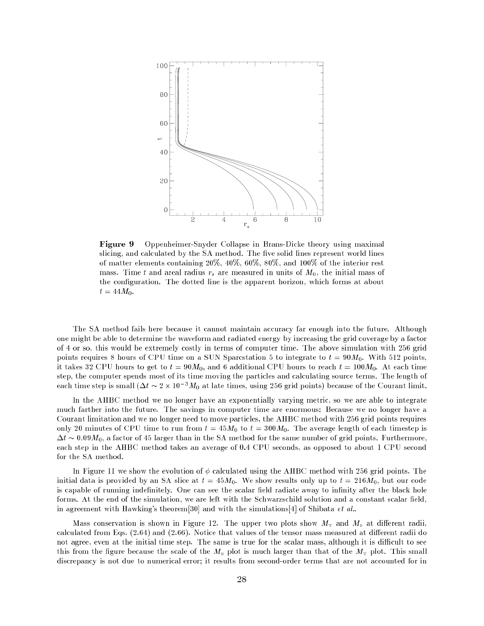

Figure 9 Oppenheimer-Snyder Collapse in Brans-Dicke theory using maximal slicing, and calculated by the SA method. The five solid lines represent world lines of matter elements containing  $20\%, 40\%, 60\%, 80\%,$  and  $100\%$  of the interior rest mass. Time t and areal radius  $r_s$  are measured in units of  $M_0$ , the initial mass of the conguration. The dotted line is the apparent horizon, which forms at about  $t = 44M_0.$ 

The SA method fails here because it cannot maintain accuracy far enough into the future. Although one might be able to determine the waveform and radiated energy by increasing the grid coverage by a factor of 4 or so, this would be extremely costly in terms of computer time. The above simulation with 256 grid points requires 8 hours of CPU time on a SUN Sparcstation 5 to integrate to  $t = 90M_0$ . With 512 points, it takes 32 CPU hours to get to  $t = 90M_0$ , and 6 additional CPU hours to reach  $t = 100M_0$ . At each time step, the computer spends most of its time moving the particles and calculating source terms. The length of each time step is small  $(\Delta t \sim 2 \times 10^{-3} M_0$  at late times, using 256 grid points) because of the Courant limit.

In the AHBC method we no longer have an exponentially varying metric, so we are able to integrate much farther into the future. The savings in computer time are enormous: Because we no longer have a Courant limitation and we no longer need to move particles, the AHBC method with 256 grid points requires only 20 minutes of CPU time to run from  $t = 45M_0$  to  $t = 300M_0$ . The average length of each timestep is  $\Delta t \sim 0.09M_0$ , a factor of 45 larger than in the SA method for the same number of grid points. Furthermore, each step in the AHBC method takes an average of 0.4 CPU seconds, as opposed to about 1 CPU second for the SA method.

In Figure 11 we show the evolution of  $\phi$  calculated using the AHBC method with 256 grid points. The initial data is provided by an SA slice at  $t = 45M_0$ . We show results only up to  $t = 216M_0$ , but our code is capable of running indefinitely. One can see the scalar field radiate away to infinity after the black hole forms. At the end of the simulation, we are left with the Schwarzschild solution and a constant scalar field, in agreement with Hawking's theorem[30] and with the simulations[4] of Shibata *et al.*.

Mass conservation is shown in Figure 12. The upper two plots show  $M_{\rm T}$  and  $M_{\rm s}$  at different radii, calculated from Eqs.  $(2.64)$  and  $(2.66)$ . Notice that values of the tensor mass measured at different radii do not agree, even at the initial time step. The same is true for the scalar mass, although it is difficult to see this from the figure because the scale of the  $M<sub>s</sub>$  plot is much larger than that of the  $M<sub>T</sub>$  plot. This small discrepancy is not due to numerical error; it results from second-order terms that are not accounted for in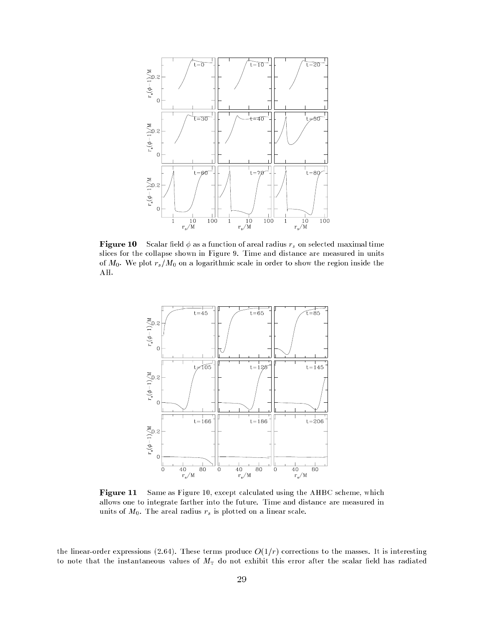

**Figure 10** Scalar field  $\phi$  as a function of areal radius  $r_s$  on selected maximal time slices for the collapse shown in Figure 9. Time and distance are measured in units of  $M_0$ . We plot  $r_s/M_0$  on a logarithmic scale in order to show the region inside the AH.



Figure 11 Same as Figure 10, except calculated using the AHBC scheme, which allows one to integrate farther into the future. Time and distance are measured in units of  $M_0$ . The areal radius  $r_s$  is plotted on a linear scale.

the linear-order expressions (2.64). These terms produce  $O(1/r)$  corrections to the masses. It is interesting to note that the instantaneous values of  $M<sub>T</sub>$  do not exhibit this error after the scalar field has radiated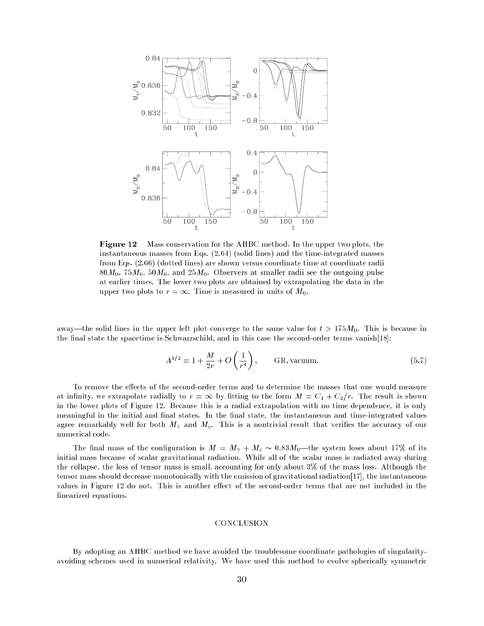

**Figure 12** Mass conservation for the AHBC method. In the upper two plots, the instantaneous masses from Eqs. (2.64) (solid lines) and the time-integrated masses from Eqs. (2.66) (dotted lines) are shown versus coordinate time at coordinate radii  $80M_0$ ,  $75M_0$ ,  $50M_0$ , and  $25M_0$ . Observers at smaller radii see the outgoing pulse at earlier times. The lower two plots are obtained by extrapolating the data in the upper two plots to  $r = \infty$ . Time is measured in units of  $M_0$ .

away—the solid lines in the upper left plot converge to the same value for  $t > 175M_0$ . This is because in the final state the spacetime is Schwarzschild, and in this case the second-order terms vanish $[18]$ :

$$
A^{1/2} = 1 + \frac{M}{2r} + O\left(\frac{1}{r^4}\right), \qquad \text{GR, vacuum.} \tag{5.7}
$$

To remove the effects of the second-order terms and to determine the masses that one would measure at infinity, we extrapolate radially to  $r = \infty$  by fitting to the form  $M = C_1 + C_2/r$ . The result is shown in the lower plots of Figure 12. Because this is a radial extrapolation with no time dependence, it is only meaningful in the initial and final states. In the final state, the instantaneous and time-integrated values agree remarkably well for both  $M<sub>T</sub>$  and  $M<sub>s</sub>$ . This is a nontrivial result that verifies the accuracy of our numerical code.

The final mass of the configuration is  $M = M<sub>T</sub> + M<sub>s</sub> \sim 0.83 M<sub>0</sub>$ —the system loses about 17% of its initial mass because of scalar gravitational radiation. While all of the scalar mass is radiated away during the collapse, the loss of tensor mass is small, accounting for only about  $3\%$  of the mass loss. Although the tensor mass should decrease monotonically with the emission of gravitational radiation[17], the instantaneous values in Figure 12 do not. This is another effect of the second-order terms that are not included in the linearized equations.

#### CONCLUSION

By adopting an AHBC method we have avoided the troublesome coordinate pathologies of singularityavoiding schemes used in numerical relativity. We have used this method to evolve spherically symmetric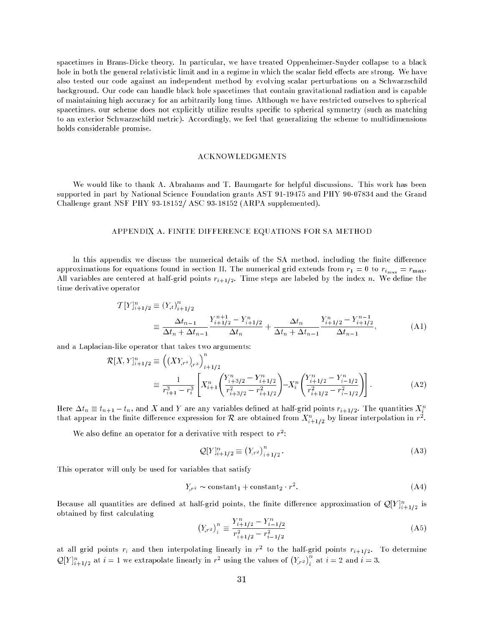spacetimes in Brans-Dicke theory. In particular, we have treated Oppenheimer-Snyder collapse to a black hole in both the general relativistic limit and in a regime in which the scalar field effects are strong. We have also tested our code against an independent method by evolving scalar perturbations on a Schwarzschild background. Our code can handle black hole spacetimes that contain gravitational radiation and is capable of maintaining high accuracy for an arbitrarily long time. Although we have restricted ourselves to spherical spacetimes, our scheme does not explicitly utilize results specic to spherical symmetry (such as matching to an exterior Schwarzschild metric). Accordingly, we feel that generalizing the scheme to multidimensions holds considerable promise.

#### ACKNOWLEDGMENTS

We would like to thank A. Abrahams and T. Baumgarte for helpful discussions. This work has been supported in part by National Science Foundation grants AST 91-19475 and PHY 90-07834 and the Grand Challenge grant NSF PHY 93-18152 ASC 93-18152 (ARPA supplemented).

#### APPENDIX A. FINITE DIFFERENCE EQUATIONS FOR SA METHOD

In this appendix we discuss the numerical details of the SA method, including the finite difference approximations for equations found in section II. The numerical grid extends from  $r_1 = 0$  to  $r_{i_{\text{max}}} = r_{\text{max}}$ . All variables are centered at half-grid points  $r_{i+1/2}$ . Time steps are labeled by the index n. We define the time derivative operator

$$
T[Y]_{i+1/2}^{n} \equiv (Y_{,t})_{i+1/2}^{n}
$$
  
\n
$$
\equiv \frac{\Delta t_{n-1}}{\Delta t_n + \Delta t_{n-1}} \frac{Y_{i+1/2}^{n+1} - Y_{i+1/2}^{n}}{\Delta t_n} + \frac{\Delta t_n}{\Delta t_n + \Delta t_{n-1}} \frac{Y_{i+1/2}^{n} - Y_{i+1/2}^{n-1}}{\Delta t_{n-1}},
$$
 (A1)

and a Laplacian-like operator that takes two arguments:

 $\overline{\phantom{a}}$ 

$$
\mathcal{R}[X, Y]_{i+1/2}^n \equiv \left( (XY_{r^2})_{r^3} \right)_{i+1/2}^n
$$
  

$$
\equiv \frac{1}{r_{i+1}^3 - r_i^3} \left[ X_{i+1}^n \left( \frac{Y_{i+3/2}^n - Y_{i+1/2}^n}{r_{i+3/2}^2 - r_{i+1/2}^2} \right) - X_i^n \left( \frac{Y_{i+1/2}^n - Y_{i-1/2}^n}{r_{i+1/2}^2 - r_{i-1/2}^2} \right) \right].
$$
 (A2)

Here  $\Delta t_n \equiv t_{n+1} - t_n$ , and X and Y are any variables defined at half-grid points  $r_{i+1/2}$ . The quantities  $X_i^n$ that appear in the finite difference expression for  $\mathcal R$  are obtained from  $X_{i+1/2}^n$  by linear interpolation in  $r^2$ .

We also define an operator for a derivative with respect to  $r^2$ :

$$
Q[Y]_{i+1/2}^n \equiv (Y_{,r^2})_{i+1/2}^n. \tag{A3}
$$

This operator will only be used for variables that satisfy

$$
Y_{r^2} \sim \text{constant}_1 + \text{constant}_2 \cdot r^2. \tag{A4}
$$

Because an quantities are defined at nan-grid points, the finite difference approximation of  $\mathcal{Q}[Y]_{i+1/2}^+$  is obtained by first calculating

$$
\left(Y_{r^2}\right)_i^n \equiv \frac{Y_{i+1/2}^n - Y_{i-1/2}^n}{r_{i+1/2}^2 - r_{i-1/2}^2} \tag{A5}
$$

at all grid points  $r_i$  and then interpolating linearly in  $r^2$  to the half-grid points  $r_{i+1/2}$ . To determine  $[Y]_{i+1/2}^n$  at  $i=1$  we extrapolate linearly in  $r^2$  using the values of  $(Y_{r^2})_i^n$  $\imath$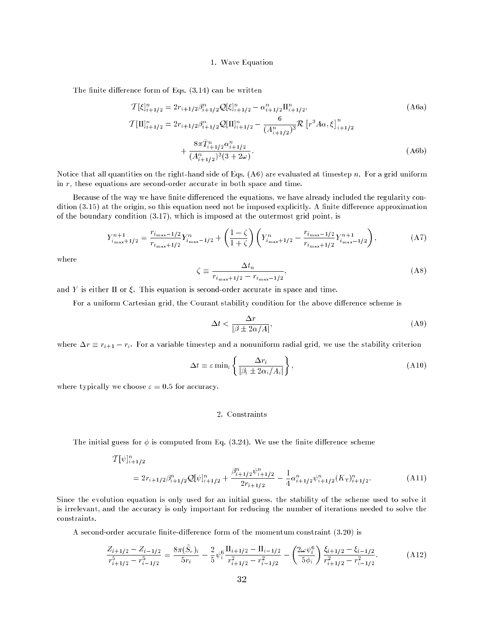#### 1. Wave Equation

The finite difference form of Eqs.  $(3.14)$  can be written

$$
\mathcal{T}[\xi]_{i+1/2}^n = 2r_{i+1/2}\beta_{i+1/2}^n \mathcal{Q}[\xi]_{i+1/2}^n - \alpha_{i+1/2}^n \Pi_{i+1/2}^n,
$$
\n(A6a)  
\n
$$
\mathcal{T}[\Pi]_{i+1/2}^n = 2r_{i+1/2}\beta_{i+1/2}^n \mathcal{Q}[\Pi]_{i+1/2}^n - \frac{6}{(A_{i+1/2}^n)^3} \mathcal{R} [r^3 A\alpha, \xi]_{i+1/2}^n + \frac{8\pi \tilde{T}_{i+1/2}^n \alpha_{i+1/2}^n}{(A_{i+1/2}^n)^3 (3+2\omega)}.
$$
\n(A6b)

Notice that all quantities on the right-hand side of Eqs.  $(A6)$  are evaluated at timestep n. For a grid uniform in  $r$ , these equations are second-order accurate in both space and time.

Because of the way we have finite differenced the equations, we have already included the regularity condition (3.15) at the origin, so this equation need not be imposed explicitly. A finite difference approximation of the boundary condition (3.17), which is imposed at the outermost grid point, is

$$
Y_{i_{\max}+1/2}^{n+1} = \frac{r_{i_{\max}-1/2}}{r_{i_{\max}+1/2}} Y_{i_{\max}-1/2}^{n} + \left(\frac{1-\zeta}{1+\zeta}\right) \left(Y_{i_{\max}+1/2}^{n} - \frac{r_{i_{\max}-1/2}}{r_{i_{\max}+1/2}} Y_{i_{\max}-1/2}^{n+1}\right),\tag{A7}
$$

where

$$
\zeta \equiv \frac{\Delta t_n}{r_{i_{\text{max}}+1/2} - r_{i_{\text{max}}-1/2}},\tag{A8}
$$

and Y is either  $\Pi$  or  $\xi$ . This equation is second-order accurate in space and time.

For a uniform Cartesian grid, the Courant stability condition for the above difference scheme is

$$
\Delta t < \frac{\Delta r}{|\beta \pm 2\alpha/A|},\tag{A9}
$$

where  $\Delta r \equiv r_{i+1} - r_i$ . For a variable timestep and a nonuniform radial grid, we use the stability criterion

$$
\Delta t = \varepsilon \min_{i} \left\{ \frac{\Delta r_i}{|\beta_i \pm 2\alpha_i/A_i|} \right\},\tag{A10}
$$

where typically we choose  $\varepsilon = 0.5$  for accuracy.

# 2. Constraints

The initial guess for  $\phi$  is computed from Eq. (3.24). We use the finite difference scheme

$$
\mathcal{T}[\psi]_{i+1/2}^n
$$
  
=  $2r_{i+1/2}\beta_{i+1/2}^n \mathcal{Q}[\psi]_{i+1/2}^n + \frac{\beta_{i+1/2}^n \psi_{i+1/2}^n}{2r_{i+1/2}} - \frac{1}{4}\alpha_{i+1/2}^n \psi_{i+1/2}^n(K_{\tau})_{i+1/2}^n.$  (A11)

Since the evolution equation is only used for an initial guess, the stability of the scheme used to solve it is irrelevant, and the accuracy is only important for reducing the number of iterations needed to solve the constraints.

A second-order accurate finite-difference form of the momentum constraint  $(3.20)$  is

$$
\frac{Z_{i+1/2} - Z_{i-1/2}}{r_{i+1/2}^5 - r_{i-1/2}^5} = \frac{8\pi(\tilde{S}_r)_i}{5r_i} - \frac{2}{5}\psi_i^6 \frac{\Pi_{i+1/2} - \Pi_{i-1/2}}{r_{i+1/2}^2 - r_{i-1/2}^2} - \left(\frac{2\omega\psi_i^6}{5\phi_i}\right) \frac{\xi_{i+1/2} - \xi_{i-1/2}}{r_{i+1/2}^2 - r_{i-1/2}^2}.
$$
 (A12)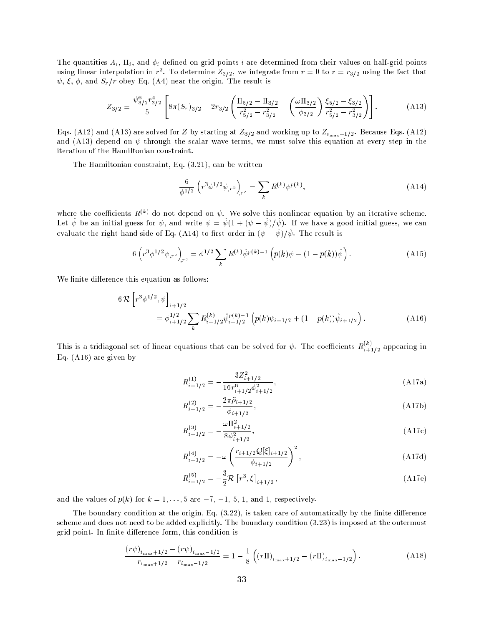The quantities  $A_i$ ,  $\Pi_i$ , and  $\phi_i$  defined on grid points i are determined from their values on half-grid points using linear interpolation in  $r^2$ . To determine  $Z_{3/2}$ , we integrate from  $r = 0$  to  $r = r_{3/2}$  using the fact that  $\psi$ ,  $\xi$ ,  $\phi$ , and  $S_r/r$  obey Eq. (A4) near the origin. The result is

$$
Z_{3/2} = \frac{\psi_{3/2}^6 r_{3/2}^4}{5} \left[ 8\pi (S_r)_{3/2} - 2r_{3/2} \left( \frac{\Pi_{5/2} - \Pi_{3/2}}{r_{5/2}^2 - r_{3/2}^2} + \left( \frac{\omega \Pi_{3/2}}{\phi_{3/2}} \right) \frac{\xi_{5/2} - \xi_{3/2}}{r_{5/2}^2 - r_{3/2}^2} \right) \right].
$$
 (A13)

Eqs. (A12) and (A13) are solved for Z by starting at  $Z_{3/2}$  and working up to  $Z_{i_{\text{max}}+1/2}$ . Because Eqs. (A12) and (A13) depend on  $\psi$  through the scalar wave terms, we must solve this equation at every step in the iteration of the Hamiltonian constraint.

The Hamiltonian constraint, Eq. (3.21), can be written

$$
\frac{6}{\phi^{1/2}} \left( r^3 \phi^{1/2} \psi_{,r^2} \right)_{,r^3} = \sum_k R^{(k)} \psi^{p(k)},\tag{A14}
$$

where the coefficients  $R^{(k)}$  do not depend on  $\psi$ . We solve this nonlinear equation by an iterative scheme. Let  $\hat{\psi}$  be an initial guess for  $\psi$ , and write  $\psi = \hat{\psi}(1 + (\psi - \hat{\psi})/\hat{\psi})$ . If we have a good initial guess, we can evaluate the right-hand side of Eq. (A14) to first order in  $(\psi - \hat{\psi})/\hat{\psi}$ . The result is

$$
6\left(r^3\phi^{1/2}\psi_{,r^2}\right)_{r^3} = \phi^{1/2}\sum_k R^{(k)}\hat{\psi}^{p(k)-1}\left(p(k)\psi + (1-p(k))\hat{\psi}\right). \tag{A15}
$$

We finite difference this equation as follows:

$$
6\mathcal{R}\left[r^{3}\phi^{1/2},\psi\right]_{i+1/2} = \phi_{i+1/2}^{1/2} \sum_{k} R_{i+1/2}^{(k)} \hat{\psi}_{i+1/2}^{p(k)-1} \left(p(k)\psi_{i+1/2} + (1-p(k))\hat{\psi}_{i+1/2}\right). \tag{A16}
$$

This is a tridiagonal set of linear equations that can be solved for  $\psi$ . The coefficients  $R_{i+1/2}^{(k)}$  appearing in Eq. (A16) are given by

$$
R_{i+1/2}^{(1)} = -\frac{3Z_{i+1/2}^2}{16r_{i+1/2}^6\phi_{i+1/2}^2},\tag{A17a}
$$

$$
R_{i+1/2}^{(2)} = -\frac{2\pi\tilde{\rho}_{i+1/2}}{\phi_{i+1/2}},\tag{A17b}
$$

$$
R_{i+1/2}^{(3)} = -\frac{\omega \Pi_{i+1/2}^2}{8\phi_{i+1/2}^2},\tag{A17c}
$$

$$
R_{i+1/2}^{(4)} = -\omega \left( \frac{r_{i+1/2} \mathcal{Q}[\xi]_{i+1/2}}{\phi_{i+1/2}} \right)^2, \tag{A17d}
$$

$$
R_{i+1/2}^{(5)} = -\frac{3}{2}\mathcal{R}\left[r^3, \xi\right]_{i+1/2},\tag{A17e}
$$

and the values of  $p(k)$  for  $k = 1, \ldots, 5$  are  $-7, -1, 5, 1$ , and 1, respectively.

The boundary condition at the origin, Eq.  $(3.22)$ , is taken care of automatically by the finite difference scheme and does not need to be added explicitly. The boundary condition (3.23) is imposed at the outermost grid point. In finite difference form, this condition is

$$
\frac{(r\psi)_{i_{\max}+1/2} - (r\psi)_{i_{\max}-1/2}}{r_{i_{\max}+1/2} - r_{i_{\max}-1/2}} = 1 - \frac{1}{8} \left( (r\Pi)_{i_{\max}+1/2} - (r\Pi)_{i_{\max}-1/2} \right). \tag{A18}
$$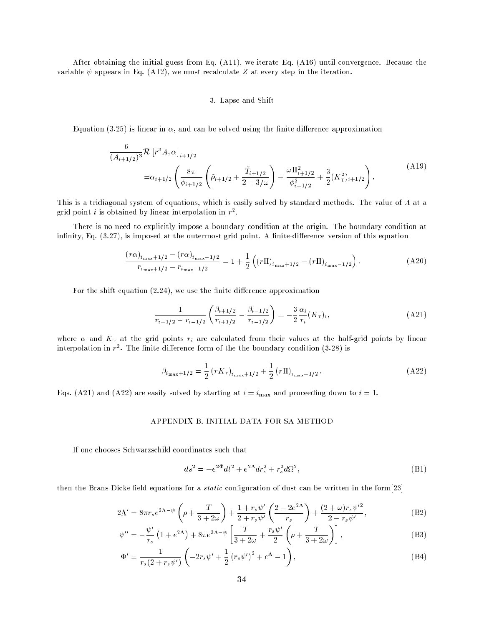After obtaining the initial guess from Eq. (A11), we iterate Eq. (A16) until convergence. Because the variable  $\psi$  appears in Eq. (A12), we must recalculate Z at every step in the iteration.

## 3. Lapse and Shift

Equation (3.25) is linear in  $\alpha$ , and can be solved using the finite difference approximation

$$
\frac{6}{(A_{i+1/2})^3} \mathcal{R} \left[ r^3 A, \alpha \right]_{i+1/2}
$$
\n
$$
= \alpha_{i+1/2} \left( \frac{8\pi}{\phi_{i+1/2}} \left( \tilde{\rho}_{i+1/2} + \frac{\tilde{T}_{i+1/2}}{2+3/\omega} \right) + \frac{\omega \Pi_{i+1/2}^2}{\phi_{i+1/2}^2} + \frac{3}{2} (K_{\rm T}^2)_{i+1/2} \right). \tag{A19}
$$

This is a tridiagonal system of equations, which is easily solved by standard methods. The value of A at a grid point *i* is obtained by linear interpolation in  $r^2$ .

There is no need to explicitly impose a boundary condition at the origin. The boundary condition at infinity, Eq.  $(3.27)$ , is imposed at the outermost grid point. A finite-difference version of this equation

$$
\frac{(r\alpha)_{i_{\max}+1/2} - (r\alpha)_{i_{\max}-1/2}}{r_{i_{\max}+1/2} - r_{i_{\max}-1/2}} = 1 + \frac{1}{2} \left( (r\Pi)_{i_{\max}+1/2} - (r\Pi)_{i_{\max}-1/2} \right). \tag{A20}
$$

For the shift equation  $(2.24)$ , we use the finite difference approximation

$$
\frac{1}{r_{i+1/2} - r_{i-1/2}} \left( \frac{\beta_{i+1/2}}{r_{i+1/2}} - \frac{\beta_{i-1/2}}{r_{i-1/2}} \right) = -\frac{3}{2} \frac{\alpha_i}{r_i} (K_{\rm T})_i,
$$
\n(A21)

where  $\alpha$  and  $K_T$  at the grid points  $r_i$  are calculated from their values at the half-grid points by linear interpolation in  $r^2$ . The finite difference form of the the boundary condition  $(3.28)$  is

$$
\beta_{i_{\max}+1/2} = \frac{1}{2} \left( r K_{\text{T}} \right)_{i_{\max}+1/2} + \frac{1}{2} \left( r \Pi \right)_{i_{\max}+1/2} . \tag{A22}
$$

Eqs. (A21) and (A22) are easily solved by starting at  $i = i_{\text{max}}$  and proceeding down to  $i = 1$ .

# APPENDIX B. INITIAL DATA FOR SA METHOD

If one chooses Schwarzschild coordinates such that

$$
ds^{2} = -e^{2\Phi}dt^{2} + e^{2\Lambda}dr_{s}^{2} + r_{s}^{2}d\Omega^{2},
$$
\n(B1)

then the Brans-Dicke field equations for a *static* configuration of dust can be written in the form $[23]$ 

$$
2\Lambda' = 8\pi r_s e^{2\Lambda - \psi} \left( \rho + \frac{T}{3 + 2\omega} \right) + \frac{1 + r_s \psi'}{2 + r_s \psi'} \left( \frac{2 - 2e^{2\Lambda}}{r_s} \right) + \frac{(2 + \omega)r_s \psi'^2}{2 + r_s \psi'}, \tag{B2}
$$

$$
\psi^{\prime\prime} = -\frac{\psi^{\prime}}{r_s} \left( 1 + e^{2\Lambda} \right) + 8\pi e^{2\Lambda - \psi} \left[ \frac{T}{3 + 2\omega} + \frac{r_s \psi^{\prime}}{2} \left( \rho + \frac{T}{3 + 2\omega} \right) \right],
$$
\n(B3)

$$
\Phi' = \frac{1}{r_s(2 + r_s \psi')} \left( -2r_s \psi' + \frac{1}{2} (r_s \psi')^2 + e^{\Lambda} - 1 \right),\tag{B4}
$$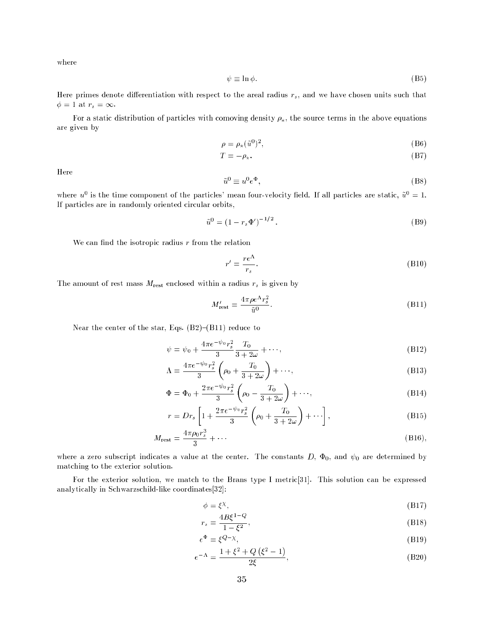where

$$
\psi \equiv \ln \phi. \tag{B5}
$$

Here primes denote differentiation with respect to the areal radius  $r<sub>s</sub>$ , and we have chosen units such that  $\phi = 1$  at  $r_s = \infty$ .

For a static distribution of particles with comoving density  $\rho_{\star}$ , the source terms in the above equations are given by

$$
\rho = \rho_{\star}(\tilde{u}^{0})^{2},\tag{B6}
$$

$$
T = -\rho_{\star}.\tag{B7}
$$

Here

$$
\tilde{u}^0 \equiv u^0 e^{\Phi},\tag{B8}
$$

where  $u^0$  is the time component of the particles' mean four-velocity field. If all particles are static,  $\tilde{u}^0 = 1$ . If particles are in randomly oriented circular orbits,

$$
\tilde{u}^0 = (1 - r_s \Phi')^{-1/2} \,. \tag{B9}
$$

We can find the isotropic radius  $r$  from the relation

$$
r' = \frac{re^{\Lambda}}{r_s}.
$$
 (B10)

The amount of rest mass  $M_{\text{rest}}$  enclosed within a radius  $r_s$  is given by

$$
M'_{\text{rest}} = \frac{4\pi\rho e^{\Lambda}r_s^2}{\tilde{u}^0}.
$$
 (B11)

Near the center of the star, Eqs.  $(B2)-(B11)$  reduce to

$$
\psi = \psi_0 + \frac{4\pi e^{-\psi_0} r_s^2}{3} \frac{T_0}{3 + 2\omega} + \cdots,
$$
\n(B12)

$$
\Lambda = \frac{4\pi e^{-\psi_0} r_s^2}{3} \left(\rho_0 + \frac{T_0}{3 + 2\omega}\right) + \cdots,
$$
\n(B13)

$$
\Phi = \Phi_0 + \frac{2\pi e^{-\psi_0} r_s^2}{3} \left( \rho_0 - \frac{T_0}{3 + 2\omega} \right) + \cdots,
$$
\n(B14)

$$
r = Dr_s \left[ 1 + \frac{2\pi e^{-\psi_0} r_s^2}{3} \left( \rho_0 + \frac{T_0}{3 + 2\omega} \right) + \cdots \right],
$$
 (B15)

$$
M_{\text{rest}} = \frac{4\pi\rho_0 r_s^3}{3} + \cdots \tag{B16},
$$

where a zero subscript indicates a value at the center. The constants D,  $\Phi_0$ , and  $\psi_0$  are determined by matching to the exterior solution.

For the exterior solution, we match to the Brans type I metric[31]. This solution can be expressed analytically in Schwarzschild-like coordinates[32]:

$$
\phi = \xi^{\chi},\tag{B17}
$$

$$
r_s = \frac{4B\xi^{1-Q}}{1-\xi^2},\tag{B18}
$$

$$
e^{\Phi} = \xi^{Q-\chi},\tag{B19}
$$

$$
e^{-\Lambda} = \frac{1 + \xi^2 + Q(\xi^2 - 1)}{2\xi},
$$
 (B20)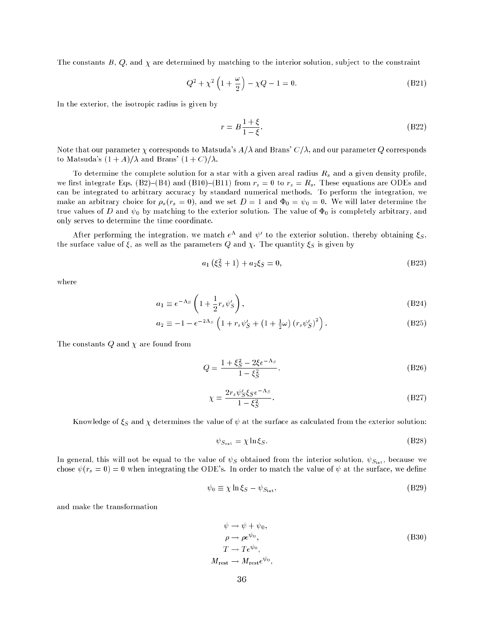The constants B, Q, and  $\chi$  are determined by matching to the interior solution, subject to the constraint

$$
Q^2 + \chi^2 \left( 1 + \frac{\omega}{2} \right) - \chi Q - 1 = 0. \tag{B21}
$$

In the exterior, the isotropic radius is given by

$$
r = B\frac{1+\xi}{1-\xi}.\tag{B22}
$$

Note that our parameter  $\chi$  corresponds to Matsuda's  $A/\lambda$  and Brans'  $C/\lambda$ , and our parameter Q corresponds to Matsuda's  $(1 + A)/\lambda$  and Brans'  $(1 + C)/\lambda$ .

To determine the complete solution for a star with a given areal radius  $R_s$  and a given density profile, we first integrate Eqs. (B2)–(B4) and (B10)–(B11) from  $r_s = 0$  to  $r_s = R_s$ . These equations are ODEs and can be integrated to arbitrary accuracy by standard numerical methods. To perform the integration, we make an arbitrary choice for  $\rho_{\star}(r_s = 0)$ , and we set  $D = 1$  and  $\Phi_0 = \psi_0 = 0$ . We will later determine the true values of D and  $\psi_0$  by matching to the exterior solution. The value of  $\Phi_0$  is completely arbitrary, and only serves to determine the time coordinate.

After performing the integration, we match  $e^{\Lambda}$  and  $\psi'$  to the exterior solution, thereby obtaining  $\xi_{S}$ , the surface value of  $\xi$ , as well as the parameters Q and  $\chi$ . The quantity  $\xi_S$  is given by

$$
a_1(\xi_S^2 + 1) + a_2 \xi_S = 0,\tag{B23}
$$

where

$$
a_1 \equiv e^{-\Lambda_S} \left( 1 + \frac{1}{2} r_s \psi'_S \right), \tag{B24}
$$

$$
a_2 \equiv -1 - e^{-2\Lambda_S} \left( 1 + r_s \psi'_S + \left( 1 + \frac{1}{2} \omega \right) \left( r_s \psi'_S \right)^2 \right). \tag{B25}
$$

The constants  $Q$  and  $\chi$  are found from

$$
Q = \frac{1 + \xi_S^2 - 2\xi e^{-\Lambda_S}}{1 - \xi_S^2},
$$
\n(B26)

$$
\chi = \frac{2r_s \psi_S' \xi_S e^{-\Lambda_S}}{1 - \xi_S^2}.\tag{B27}
$$

Knowledge of  $\xi_S$  and  $\chi$  determines the value of  $\psi$  at the surface as calculated from the exterior solution:

$$
\psi_{S_{\text{ext}}} = \chi \ln \xi_S. \tag{B28}
$$

In general, this will not be equal to the value of  $\psi_S$  obtained from the interior solution,  $\psi_{S_{\rm int}}$ , because we chose  $\psi(r_s = 0) = 0$  when integrating the ODE's. In order to match the value of  $\psi$  at the surface, we define

$$
\psi_0 \equiv \chi \ln \xi_S - \psi_{S_{\text{int}}},\tag{B29}
$$

and make the transformation

$$
\psi \to \psi + \psi_0,
$$
  
\n
$$
\rho \to \rho e^{\psi_0},
$$
  
\n
$$
T \to Te^{\psi_0},
$$
  
\n
$$
M_{\text{rest}} \to M_{\text{rest}} e^{\psi_0},
$$
\n(B30)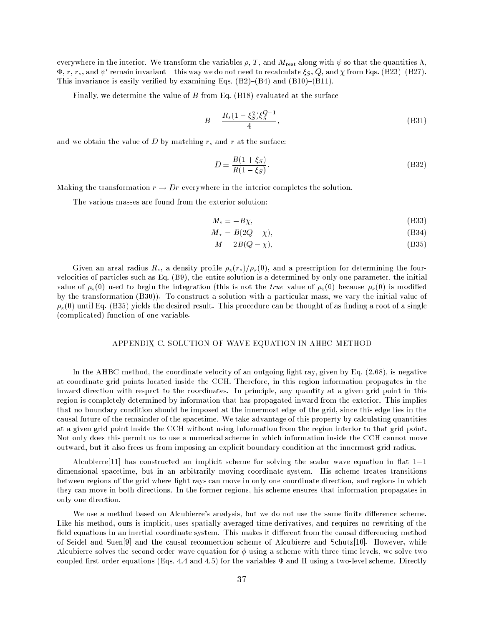everywhere in the interior. We transform the variables  $\rho$ , T, and  $M_{rest}$  along with  $\psi$  so that the quantities  $\Lambda$ ,  $\Psi, r, r_s,$  and  $\psi$  -remain invariant—this way we do not need to recalculate  $\zeta_S, \zeta_S$  and  $\chi$  from Eqs. (B25)=(B27). This invariance is easily verified by examining Eqs.  $(B2)$ – $(B4)$  and  $(B10)$ – $(B11)$ .

Finally, we determine the value of  $B$  from Eq. (B18) evaluated at the surface

$$
B = \frac{R_s (1 - \xi_S^2) \xi_S^{Q-1}}{4},\tag{B31}
$$

and we obtain the value of  $D$  by matching  $r_s$  and  $r$  at the surface:

$$
D = \frac{B(1 + \xi_S)}{R(1 - \xi_S)}.
$$
 (B32)

Making the transformation  $r \to Dr$  everywhere in the interior completes the solution.

The various masses are found from the exterior solution:

$$
M_{\rm s} = -B\chi,\tag{B33}
$$

$$
M_{\rm T} = B(2Q - \chi),\tag{B34}
$$

$$
M = 2B(Q - \chi),\tag{B35}
$$

Given an areal radius  $R_s$ , a density profile  $\rho_{\star}(r_s)/\rho_{\star}(0)$ , and a prescription for determining the fourvelocities of particles such as Eq. (B9), the entire solution is a determined by only one parameter, the initial value of  $\rho_{\star}(0)$  used to begin the integration (this is not the true value of  $\rho_{\star}(0)$  because  $\rho_{\star}(0)$  is modified by the transformation (B30)). To construct a solution with a particular mass, we vary the initial value of  $\rho_{\star}(0)$  until Eq. (B35) yields the desired result. This procedure can be thought of as finding a root of a single (complicated) function of one variable.

# APPENDIX C. SOLUTION OF WAVE EQUATION IN AHBC METHOD

In the AHBC method, the coordinate velocity of an outgoing light ray, given by Eq. (2.68), is negative at coordinate grid points located inside the CCH. Therefore, in this region information propagates in the inward direction with respect to the coordinates. In principle, any quantity at a given grid point in this region is completely determined by information that has propagated inward from the exterior. This implies that no boundary condition should be imposed at the innermost edge of the grid, since this edge lies in the causal future of the remainder of the spacetime. We take advantage of this property by calculating quantities at a given grid point inside the CCH without using information from the region interior to that grid point. Not only does this permit us to use a numerical scheme in which information inside the CCH cannot move outward, but it also frees us from imposing an explicit boundary condition at the innermost grid radius.

Alcubierre<sup>[11]</sup> has constructed an implicit scheme for solving the scalar wave equation in flat  $1+1$ dimensional spacetime, but in an arbitrarily moving coordinate system. His scheme treates transitions between regions of the grid where light rays can move in only one coordinate direction, and regions in which they can move in both directions. In the former regions, his scheme ensures that information propagates in only one direction.

We use a method based on Alcubierre's analysis, but we do not use the same finite difference scheme. Like his method, ours is implicit, uses spatially averaged time derivatives, and requires no rewriting of the field equations in an inertial coordinate system. This makes it different from the causal differencing method of Seidel and Suen[9] and the causal reconnection scheme of Alcubierre and Schutz[10]. However, while Alcubierre solves the second order wave equation for  $\phi$  using a scheme with three time levels, we solve two coupled first order equations (Eqs. 4.4 and 4.5) for the variables  $\Phi$  and  $\Pi$  using a two-level scheme. Directly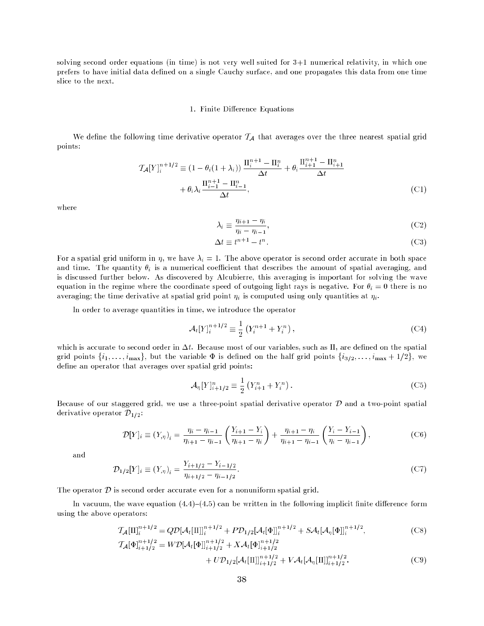solving second order equations (in time) is not very well suited for 3+1 numerical relativity, in which one prefers to have initial data dened on a single Cauchy surface, and one propagates this data from one time slice to the next.

#### 1. Finite Difference Equations

We define the following time derivative operator  $\mathcal{T}_A$  that averages over the three nearest spatial grid points:

$$
\mathcal{T}_{\mathcal{A}}[Y]_{i}^{n+1/2} \equiv (1 - \theta_{i}(1 + \lambda_{i})) \frac{\Pi_{i}^{n+1} - \Pi_{i}^{n}}{\Delta t} + \theta_{i} \frac{\Pi_{i+1}^{n+1} - \Pi_{i+1}^{n}}{\Delta t} + \theta_{i} \lambda_{i} \frac{\Pi_{i-1}^{n+1} - \Pi_{i-1}^{n}}{\Delta t},
$$
\n(C1)

where

$$
\lambda_i \equiv \frac{\eta_{i+1} - \eta_i}{\eta_i - \eta_{i-1}},\tag{C2}
$$

$$
\Delta t \equiv t^{n+1} - t^n. \tag{C3}
$$

For a spatial grid uniform in , we have in above operator in a second order accurate in both space in both space in both space in both space in both space in both space in both space in both space in both space in both sp and time. The quantity  $\theta_i$  is a numerical coefficient that describes the amount of spatial averaging, and is discussed further below. As discovered by Alcubierre, this averaging is important for solving the wave equation in the regime where the coordinate speed of outgoing light rays is negative. For  $\theta_i = 0$  there is no averaging; the time derivative at spatial grid point  $\eta_i$  is computed using only quantities at  $\eta_i$ .

In order to average quantities in time, we introduce the operator

$$
\mathcal{A}_t[Y]_i^{n+1/2} \equiv \frac{1}{2} \left( Y_i^{n+1} + Y_i^n \right), \tag{C4}
$$

which is accurate to second order in  $\Delta t$ . Because most of our variables, such as II, are defined on the spatial grid points  $\{i_1, \ldots, i_{\text{max}}\}$ , but the variable  $\Phi$  is defined on the half grid points  $\{i_{3/2}, \ldots, i_{\text{max}} + 1/2\}$ , we define an operator that averages over spatial grid points:

$$
\mathcal{A}_{\eta}[Y]_{i+1/2}^n \equiv \frac{1}{2} \left( Y_{i+1}^n + Y_i^n \right). \tag{C5}
$$

Because of our staggered grid, we use a three-point spatial derivative operator  $\mathcal D$  and a two-point spatial derivative operator  $\mathcal{D}_{1/2}$ :

$$
\mathcal{D}[Y]_i \equiv (Y_{,\eta})_i = \frac{\eta_i - \eta_{i-1}}{\eta_{i+1} - \eta_{i-1}} \left( \frac{Y_{i+1} - Y_i}{\eta_{i+1} - \eta_i} \right) + \frac{\eta_{i+1} - \eta_i}{\eta_{i+1} - \eta_{i-1}} \left( \frac{Y_i - Y_{i-1}}{\eta_i - \eta_{i-1}} \right),\tag{C6}
$$

and

$$
\mathcal{D}_{1/2}[Y]_i \equiv (Y_{,\eta})_i = \frac{Y_{i+1/2} - Y_{i-1/2}}{\eta_{i+1/2} - \eta_{i-1/2}}.\tag{C7}
$$

The operator  $\mathcal D$  is second order accurate even for a nonuniform spatial grid.

In vacuum, the wave equation  $(4.4)-(4.5)$  can be written in the following implicit finite difference form using the above operators:

$$
\mathcal{T}_{\mathcal{A}}[\Pi]_{i}^{n+1/2} = Q\mathcal{D}[\mathcal{A}_{t}[\Pi]]_{i}^{n+1/2} + P\mathcal{D}_{1/2}[\mathcal{A}_{t}[\Phi]]_{i}^{n+1/2} + S\mathcal{A}_{t}[\mathcal{A}_{\eta}[\Phi]]_{i}^{n+1/2},
$$
\n(C8)\n
$$
\mathcal{T}_{\mathcal{A}}[\Phi]_{i+1/2}^{n+1/2} = W\mathcal{D}[\mathcal{A}_{t}[\Phi]]_{i+1/2}^{n+1/2} + X\mathcal{A}_{t}[\Phi]_{i+1/2}^{n+1/2}
$$

$$
[\Phi]_{i+1/2}^{n+1/2} = W \mathcal{D}[\mathcal{A}_t[\Phi]]_{i+1/2}^{n+1/2} + X \mathcal{A}_t[\Phi]_{i+1/2}^{n+1/2} + U \mathcal{D}_{1/2}[\mathcal{A}_t[\Pi]]_{i+1/2}^{n+1/2} + V \mathcal{A}_t[\mathcal{A}_{\eta}[\Pi]]_{i+1/2}^{n+1/2}.
$$
 (C9)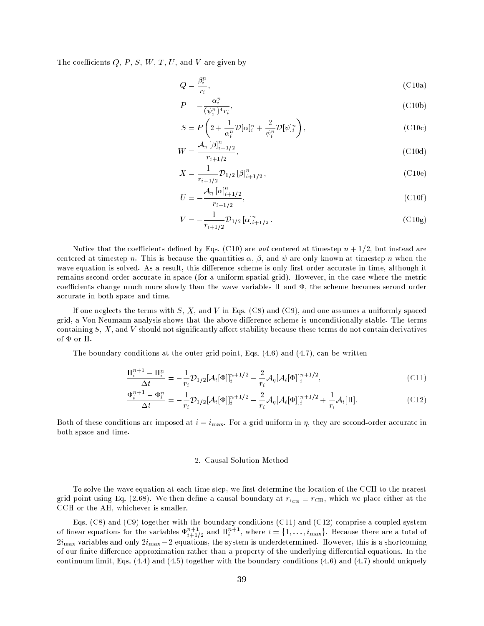The coefficients  $Q, P, S, W, T, U$ , and V are given by

$$
Q = \frac{\beta_i^n}{r_i},\tag{C10a}
$$

$$
P = -\frac{\alpha_i^n}{(\psi_i^n)^4 r_i},\tag{C10b}
$$

$$
S = P\left(2 + \frac{1}{\alpha_i^n} \mathcal{D}[\alpha]_i^n + \frac{2}{\psi_i^n} \mathcal{D}[\psi]_i^n\right),\tag{C10c}
$$

$$
W = \frac{\mathcal{A}_{\eta} \left[ \beta \right]_{i+1/2}^{\alpha}}{r_{i+1/2}},\tag{C10d}
$$

$$
X = \frac{1}{r_{i+1/2}} \mathcal{D}_{1/2} \left[ \beta \right]_{i+1/2}^n, \tag{C10e}
$$

$$
U = -\frac{\mathcal{A}_{\eta} [\alpha]_{i+1/2}^n}{r_{i+1/2}},
$$
\n(C10f)

$$
V = -\frac{1}{r_{i+1/2}} \mathcal{D}_{1/2} \left[ \alpha \right]_{i+1/2}^n.
$$
 (C10g)

Notice that the coefficients defined by Eqs. (C10) are not centered at timestep  $n + 1/2$ , but instead are centered at timestep n. This is because the quantities  $\alpha$ ,  $\beta$ , and  $\psi$  are only known at timestep n when the wave equation is solved. As a result, this difference scheme is only first order accurate in time, although it remains second order accurate in space (for a uniform spatial grid). However, in the case where the metric coefficients change much more slowly than the wave variables  $\Pi$  and  $\Phi$ , the scheme becomes second order accurate in both space and time.

If one neglects the terms with S, X, and V in Eqs. (C8) and (C9), and one assumes a uniformly spaced grid, a Von Neumann analysis shows that the above difference scheme is unconditionally stable. The terms containing  $S, X$ , and  $V$  should not significantly affect stability because these terms do not contain derivatives of  $\Phi$  or  $\Pi$ .

The boundary conditions at the outer grid point, Eqs.  $(4.6)$  and  $(4.7)$ , can be written

$$
\frac{\Pi_i^{n+1} - \Pi_i^n}{\Delta t} = -\frac{1}{r_i} \mathcal{D}_{1/2} [\mathcal{A}_t[\Phi]]_i^{n+1/2} - \frac{2}{r_i} \mathcal{A}_\eta [\mathcal{A}_t[\Phi]]_i^{n+1/2},\tag{C11}
$$

$$
\frac{\Phi_i^{n+1} - \Phi_i^n}{\Delta t} = -\frac{1}{r_i} \mathcal{D}_{1/2} [\mathcal{A}_t[\Phi]]_i^{n+1/2} - \frac{2}{r_i} \mathcal{A}_\eta [\mathcal{A}_t[\Phi]]_i^{n+1/2} + \frac{1}{r_i} \mathcal{A}_t[\Pi].
$$
\n(C12)

Both of these conditions are imposed at  $i = i_{\text{max}}$ . For a grid uniform in  $\eta$ , they are second-order accurate in both space and time.

#### 2. Causal Solution Method

To solve the wave equation at each time step, we first determine the location of the CCH to the nearest grid point using Eq. (2.68). We then define a causal boundary at  $r_{i_{\text{CB}}} = r_{\text{CB}}$ , which we place either at the CCH or the AH, whichever is smaller.

of linear equations for the variables  $\Phi_{i+1/2}^{n+1}$  and  $\Pi_i^{n+1}$ , where  $i = \{1, \ldots, i_{\max}\}\$ . Because there are a total of  $\omega_t$ max variables and only  $\omega_t$ max  $\omega$  equations, the system is underdetermined. However, this is a shortcoming of our finite difference approximation rather than a property of the underlying differential equations. In the continuum limit, Eqs. (4.4) and (4.5) together with the boundary conditions (4.6) and (4.7) should uniquely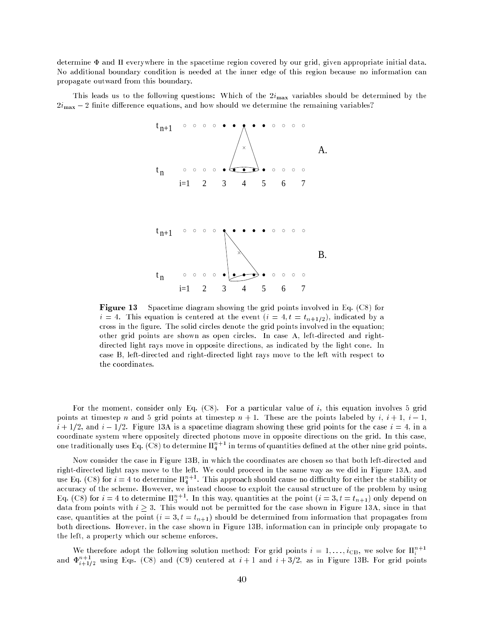determine  $\Phi$  and  $\Pi$  everywhere in the spacetime region covered by our grid, given appropriate initial data. No additional boundary condition is needed at the inner edge of this region because no information can propagate outward from this boundary.

This leads us to the following questions: Which of the  $2i_{\text{max}}$  variables should be determined by the  $2i_{\text{max}} - 2$  finite difference equations, and how should we determine the remaining variables?



Figure 13 Spacetime diagram showing the grid points involved in Eq. (C8) for  $i = 4$ . This equation is centered at the event  $(i = 4, t = t_{n+1/2})$ , indicated by a cross in the figure. The solid circles denote the grid points involved in the equation; other grid points are shown as open circles. In case A, left-directed and rightdirected light rays move in opposite directions, as indicated by the light cone. In case B, left-directed and right-directed light rays move to the left with respect to the coordinates.

For the moment, consider only Eq. (C8). For a particular value of i, this equation involves 5 grid points at timestep n and 5 grid points at timestep  $n + 1$ . These are the points labeled by i,  $i + 1$ ,  $i - 1$ ,  $i + 1/2$ , and  $i - 1/2$ . Figure 13A is a spacetime diagram showing these grid points for the case  $i = 4$ , in a coordinate system where oppositely directed photons move in opposite directions on the grid. In this case, one traditionally uses Eq. (C8) to determine  $\prod_{i=1}^{n+1}$  in terms of quantities defined at the other nine grid points.

Now consider the case in Figure 13B, in which the coordinates are chosen so that both left-directed and right-directed light rays move to the left. We could proceed in the same way as we did in Figure 13A, and use Eq. (C8) for  $i=4$  to determine  $\Pi^{n+1}_4.$  This approach should cause no difficulty for either the stability or accuracy of the scheme. However, we instead choose to exploit the causal structure of the problem by using Eq. (C8) for  $i = 4$  to determine  $\prod_{3}^{n+1}$ . In this way, quantities at the point  $(i = 3, t = t_{n+1})$  only depend on data from points with  $i \geq 3$ . This would not be permitted for the case shown in Figure 13A, since in that case, quantities at the point  $(i = 3, t = t_{n+1})$  should be determined from information that propagates from both directions. However, in the case shown in Figure 13B, information can in principle only propagate to the left, a property which our scheme enforces.

We therefore adopt the following solution method: For grid points  $i = 1, \ldots, i_{\text{CB}}$ , we solve for  $\Pi_i^{n+1}$ and  $\Phi^{n+1}_{i+1/2}$  using Eqs. (C8) and (C9) centered at  $i+1$  and  $i+3/2$ , as in Figure 13B. For grid points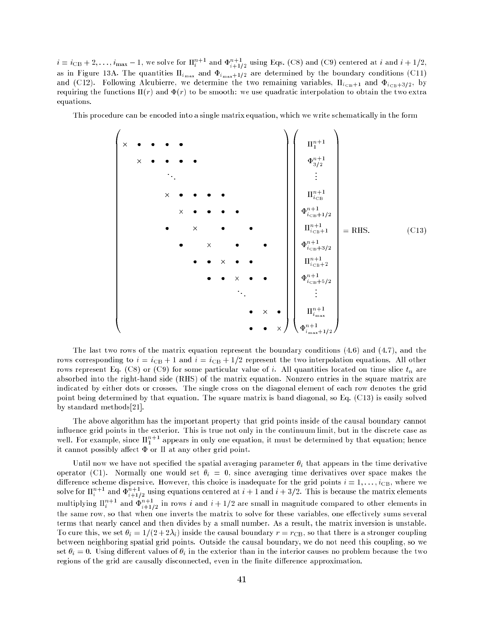$i = i_{\text{CB}} + 2, \ldots, i_{\text{max}} - 1$ , we solve for  $\Pi_i^{n+1}$  and  $\Phi_{i+1/2}^{n+1}$  using Eqs. (C8) and (C9) centered at i and  $i + 1/2$ , as in Figure 13A. The quantities  $\prod_{i_{\max}}$  and  $\Phi_{i_{\max}+1/2}$  are determined by the boundary conditions (C11) and (C12). Following Alcubierre, we determine the two remaining variables,  $\Pi_{i_{\text{CB}}+1}$  and  $\Phi_{i_{\text{CB}}+3/2}$ , by requiring the functions  $\Pi(r)$  and  $\Phi(r)$  to be smooth: we use quadratic interpolation to obtain the two extra equations.

This procedure can be encoded into a single matrix equation, which we write schematically in the form

<sup>B</sup> <sup>B</sup> <sup>B</sup> <sup>B</sup> <sup>B</sup> <sup>B</sup> <sup>B</sup> <sup>B</sup> <sup>B</sup> <sup>B</sup> <sup>B</sup> <sup>B</sup> <sup>B</sup> <sup>B</sup> <sup>B</sup> <sup>B</sup> <sup>B</sup> <sup>B</sup> <sup>B</sup> <sup>B</sup> <sup>B</sup> <sup>B</sup> <sup>B</sup> <sup>B</sup> <sup>B</sup> <sup>B</sup> <sup>B</sup> <sup>B</sup> <sup>B</sup> <sup>B</sup> <sup>B</sup> <sup>B</sup> <sup>B</sup> <sup>B</sup> <sup>B</sup> <sup>B</sup> <sup>B</sup> - - -<sup>C</sup> <sup>C</sup> <sup>C</sup> <sup>C</sup> <sup>C</sup> <sup>C</sup> <sup>C</sup> <sup>C</sup> <sup>C</sup> <sup>C</sup> <sup>C</sup> <sup>C</sup> <sup>C</sup> <sup>C</sup> <sup>C</sup> <sup>C</sup> <sup>C</sup> <sup>C</sup> <sup>C</sup> <sup>C</sup> <sup>C</sup> <sup>C</sup> <sup>C</sup> <sup>C</sup> <sup>C</sup> <sup>C</sup> <sup>C</sup> <sup>C</sup> <sup>C</sup> <sup>C</sup> <sup>C</sup> <sup>C</sup> <sup>C</sup> <sup>C</sup> <sup>C</sup> <sup>C</sup> <sup>C</sup> <sup>B</sup> <sup>B</sup> <sup>B</sup> <sup>B</sup> <sup>B</sup> <sup>B</sup> <sup>B</sup> <sup>B</sup> <sup>B</sup> <sup>B</sup> <sup>B</sup> <sup>B</sup> <sup>B</sup> <sup>B</sup> <sup>B</sup> <sup>B</sup> <sup>B</sup> <sup>B</sup> <sup>B</sup> <sup>B</sup> <sup>B</sup> <sup>B</sup> <sup>B</sup> <sup>B</sup> <sup>B</sup> <sup>B</sup> <sup>B</sup> <sup>B</sup> <sup>B</sup> <sup>B</sup> <sup>B</sup> <sup>B</sup> <sup>B</sup> <sup>B</sup> <sup>B</sup> <sup>B</sup> <sup>B</sup> n+1 1 n+1 3=2 n+1 iCB n+1 iCB+1=2 n+1 iCB+1 n+1 iCB+3=2 n+1 iCB+2 n+1 iCB+5=2 n+1 imax n+1 imax+1=2 <sup>C</sup> <sup>C</sup> <sup>C</sup> <sup>C</sup> <sup>C</sup> <sup>C</sup> <sup>C</sup> <sup>C</sup> <sup>C</sup> <sup>C</sup> <sup>C</sup> <sup>C</sup> <sup>C</sup> <sup>C</sup> <sup>C</sup> <sup>C</sup> <sup>C</sup> <sup>C</sup> <sup>C</sup> <sup>C</sup> <sup>C</sup> <sup>C</sup> <sup>C</sup> <sup>C</sup> <sup>C</sup> <sup>C</sup> <sup>C</sup> <sup>C</sup> <sup>C</sup> <sup>C</sup> <sup>C</sup> <sup>C</sup> <sup>C</sup> <sup>C</sup> <sup>C</sup> <sup>C</sup> <sup>C</sup> = RHS: (C13)

The last two rows of the matrix equation represent the boundary conditions (4.6) and (4.7), and the rows corresponding to  $i = i_{\text{CB}} + 1$  and  $i = i_{\text{CB}} + 1/2$  represent the two interpolation equations. All other rows represent Eq. (C8) or (C9) for some particular value of i. All quantities located on time slice  $t_n$  are absorbed into the right-hand side (RHS) of the matrix equation. Nonzero entries in the square matrix are indicated by either dots or crosses. The single cross on the diagonal element of each row denotes the grid point being determined by that equation. The square matrix is band diagonal, so Eq. (C13) is easily solved by standard methods[21].

The above algorithm has the important property that grid points inside of the causal boundary cannot influence grid points in the exterior. This is true not only in the continuum limit, but in the discrete case as well. For example, since  $\prod_{1}^{n+1}$  appears in only one equation, it must be determined by that equation; hence it cannot possibly affect  $\Phi$  or  $\Pi$  at any other grid point.

Until now we have not specified the spatial averaging parameter  $\theta_i$  that appears in the time derivative operator (C1). Normally one would set  $\theta_i = 0$ , since averaging time derivatives over space makes the difference scheme dispersive. However, this choice is inadequate for the grid points  $i = 1, \ldots, i_{\text{CB}}$ , where we solve for  $\Pi^{n+1}_{i}$  and  $\Phi^{n+1}_{i+1/2}$  using equations centered at  $i+1$  and  $i+3/2.$  This is because the matrix elements multiplying  $\prod_{i=1}^{n+1}$  and  $\Phi_{i+1/2}^{n+1}$  in rows i and  $i+1/2$  are small in magnitude compared to other elements in the same row, so that when one inverts the matrix to solve for these variables, one effectively sums several terms that nearly cancel and then divides by a small number. As a result, the matrix inversion is unstable. To cure this, we set  $\theta_i = 1/(2 + 2\lambda_i)$  inside the causal boundary  $r = r_{\text{CB}}$ , so that there is a stronger coupling between neighboring spatial grid points. Outside the causal boundary, we do not need this coupling, so we set  $\theta_i = 0$ . Using different values of  $\theta_i$  in the exterior than in the interior causes no problem because the two regions of the grid are causally disconnected, even in the finite difference approximation.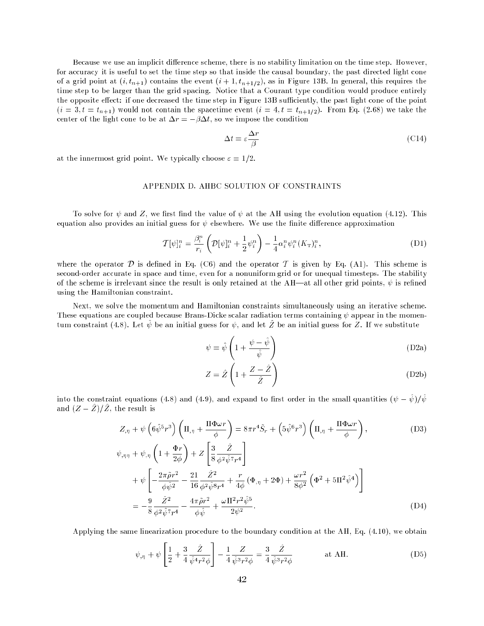Because we use an implicit difference scheme, there is no stability limitation on the time step. However, for accuracy it is useful to set the time step so that inside the causal boundary, the past directed light cone of a grid point at  $(i, t_{n+1})$  contains the event  $(i + 1, t_{n+1/2})$ , as in Figure 13B. In general, this requires the time step to be larger than the grid spacing. Notice that a Courant type condition would produce entirely the opposite effect: if one decreased the time step in Figure 13B sufficiently, the past light cone of the point  $(i = 3, t = t_{n+1})$  would not contain the spacetime event  $(i = 4, t = t_{n+1/2})$ . From Eq. (2.68) we take the center of the light cone to be at  $\Delta r = -\beta \Delta t$ , so we impose the condition

$$
\Delta t = \varepsilon \frac{\Delta r}{\beta} \tag{C14}
$$

at the innermost grid point. We typically choose  $\varepsilon = 1/2$ .

# APPENDIX D. AHBC SOLUTION OF CONSTRAINTS

To solve for  $\psi$  and Z, we first find the value of  $\psi$  at the AH using the evolution equation (4.12). This equation also provides an initial guess for  $\psi$  elsewhere. We use the finite difference approximation

$$
\mathcal{T}[\psi]_i^n = \frac{\beta_i^n}{r_i} \left( \mathcal{D}[\psi]_i^n + \frac{1}{2} \psi_i^n \right) - \frac{1}{4} \alpha_i^n \psi_i^n (K_\text{T})_i^n, \tag{D1}
$$

where the operator  $\mathcal D$  is defined in Eq. (C6) and the operator  $\mathcal T$  is given by Eq. (A1). This scheme is second-order accurate in space and time, even for a nonuniform grid or for unequal timesteps. The stability of the scheme is irrelevant since the result is only retained at the AH—at all other grid points,  $\psi$  is refined using the Hamiltonian constraint.

Next, we solve the momentum and Hamiltonian constraints simultaneously using an iterative scheme. These equations are coupled because Brans-Dicke scalar radiation terms containing  $\psi$  appear in the momentum constraint (4.8). Let  $\hat{\psi}$  be an initial guess for  $\psi$ , and let  $\hat{Z}$  be an initial guess for Z. If we substitute

$$
\psi = \hat{\psi} \left( 1 + \frac{\psi - \hat{\psi}}{\hat{\psi}} \right) \tag{D2a}
$$

$$
Z = \hat{Z} \left( 1 + \frac{Z - \hat{Z}}{\hat{Z}} \right)
$$
 (D2b)

into the constraint equations (4.8) and (4.9), and expand to first order in the small quantities  $(\psi - \dot{\psi})/\dot{\psi}$ and  $(Z - \hat{Z})/\hat{Z}$ , the result is

$$
Z_{,\eta} + \psi \left( 6\hat{\psi}^5 r^3 \right) \left( \Pi_{,\eta} + \frac{\Pi \Phi \omega r}{\phi} \right) = 8\pi r^4 \tilde{S}_r + \left( 5\hat{\psi}^6 r^3 \right) \left( \Pi_{,\eta} + \frac{\Pi \Phi \omega r}{\phi} \right), \tag{D3}
$$

$$
\psi_{,\eta\eta} + \psi_{,\eta} \left( 1 + \frac{\Phi r}{2\phi} \right) + Z \left[ \frac{3}{8} \frac{Z}{\phi^2 \hat{\psi}^7 r^4} \right] \n+ \psi \left[ -\frac{2\pi \tilde{\rho} r^2}{\phi \hat{\psi}^2} - \frac{21}{16} \frac{\tilde{Z}^2}{\phi^2 \hat{\psi}^8 r^4} + \frac{r}{4\phi} \left( \Phi_{,\eta} + 2\Phi \right) + \frac{\omega r^2}{8\phi^2} \left( \Phi^2 + 5\Pi^2 \hat{\psi}^4 \right) \right] \n= -\frac{9}{8} \frac{\tilde{Z}^2}{\phi^2 \hat{\psi}^7 r^4} - \frac{4\pi \tilde{\rho} r^2}{\phi \hat{\psi}} + \frac{\omega \Pi^2 r^2 \hat{\psi}^5}{2\psi^2}.
$$
\n(D4)

Applying the same linearization procedure to the boundary condition at the AH, Eq. (4.10), we obtain

$$
\psi_{,\eta} + \psi \left[ \frac{1}{2} + \frac{3}{4} \frac{\hat{Z}}{\hat{\psi}^4 r^2 \phi} \right] - \frac{1}{4} \frac{Z}{\hat{\psi}^3 r^2 \phi} = \frac{3}{4} \frac{\hat{Z}}{\hat{\psi}^3 r^2 \phi} \quad \text{at AH.}
$$
 (D5)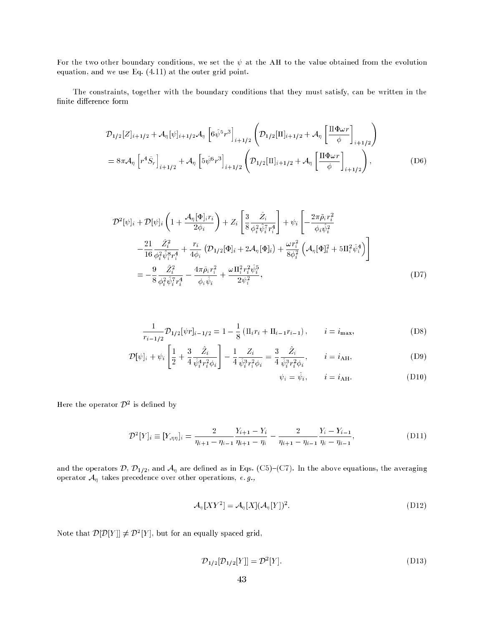For the two other boundary conditions, we set the  $\psi$  at the AH to the value obtained from the evolution equation, and we use Eq. (4.11) at the outer grid point.

The constraints, together with the boundary conditions that they must satisfy, can be written in the finite difference form

$$
\mathcal{D}_{1/2}[Z]_{i+1/2} + \mathcal{A}_{\eta}[\psi]_{i+1/2} \mathcal{A}_{\eta} \left[ 6\hat{\psi}^{5}r^{3} \right]_{i+1/2} \left( \mathcal{D}_{1/2}[\Pi]_{i+1/2} + \mathcal{A}_{\eta} \left[ \frac{\Pi \Phi \omega r}{\phi} \right]_{i+1/2} \right)
$$
  
=  $8\pi \mathcal{A}_{\eta} \left[ r^{4} \tilde{S}_{r} \right]_{i+1/2} + \mathcal{A}_{\eta} \left[ 5\hat{\psi}^{6}r^{3} \right]_{i+1/2} \left( \mathcal{D}_{1/2}[\Pi]_{i+1/2} + \mathcal{A}_{\eta} \left[ \frac{\Pi \Phi \omega r}{\phi} \right]_{i+1/2} \right),$  (D6)

$$
\mathcal{D}^{2}[\psi]_{i} + \mathcal{D}[\psi]_{i} \left( 1 + \frac{\mathcal{A}_{\eta}[\Phi]_{i} r_{i}}{2\phi_{i}} \right) + Z_{i} \left[ \frac{3}{8} \frac{\hat{Z}_{i}}{\phi_{i}^{2} \hat{\psi}_{i}^{T} r_{i}^{4}} \right] + \psi_{i} \left[ -\frac{2\pi \tilde{\rho}_{i} r_{i}^{2}}{\phi_{i} \hat{\psi}_{i}^{2}} -\frac{21}{16} \frac{\hat{Z}_{i}^{2}}{\phi_{i}^{2} \hat{\psi}_{i}^{8} r_{i}^{4}} + \frac{r_{i}}{4\phi_{i}} \left( \mathcal{D}_{1/2}[\Phi]_{i} + 2\mathcal{A}_{\eta}[\Phi]_{i} \right) + \frac{\omega r_{i}^{2}}{8\phi_{i}^{2}} \left( \mathcal{A}_{\eta}[\Phi]_{i}^{2} + 5\Pi_{i}^{2} \hat{\psi}_{i}^{4} \right) \right]
$$
  

$$
= -\frac{9}{8} \frac{\hat{Z}_{i}^{2}}{\phi_{i}^{2} \hat{\psi}_{i}^{7} r_{i}^{4}} - \frac{4\pi \tilde{\rho}_{i} r_{i}^{2}}{\phi_{i} \hat{\psi}_{i}} + \frac{\omega \Pi_{i}^{2} r_{i}^{2} \hat{\psi}_{i}^{5}}{2\psi_{i}^{2}}, \qquad (D7)
$$

$$
\frac{1}{r_{i-1/2}} \mathcal{D}_{1/2}[\psi r]_{i-1/2} = 1 - \frac{1}{8} \left( \Pi_i r_i + \Pi_{i-1} r_{i-1} \right), \qquad i = i_{\text{max}},
$$
 (D8)

$$
\mathcal{D}[\psi]_i + \psi_i \left[ \frac{1}{2} + \frac{3}{4} \frac{\hat{Z}_i}{\hat{\psi}_i^4 r_i^2 \phi_i} \right] - \frac{1}{4} \frac{Z_i}{\hat{\psi}_i^3 r_i^2 \phi_i} = \frac{3}{4} \frac{\hat{Z}_i}{\hat{\psi}_i^3 r_i^2 \phi_i}, \qquad i = i_{\text{AH}},
$$
\n(D9)

$$
\psi_i = \hat{\psi}_i, \qquad i = i_{\text{AH}}.\tag{D10}
$$

Here the operator  $\mathcal{D}^2$  is defined by

$$
\mathcal{D}^{2}[Y]_{i} \equiv [Y_{,\eta\eta}]_{i} = \frac{2}{\eta_{i+1} - \eta_{i-1}} \frac{Y_{i+1} - Y_{i}}{\eta_{i+1} - \eta_{i}} - \frac{2}{\eta_{i+1} - \eta_{i-1}} \frac{Y_{i} - Y_{i-1}}{\eta_{i} - \eta_{i-1}},
$$
\n(D11)

and the operators  $\mathcal{D}, \mathcal{D}_{1/2}$ , and  $\mathcal{A}_{\eta}$  are defined as in Eqs. (C5)-(C7). In the above equations, the averaging operator  $A_{\eta}$  takes precedence over other operations, e.g.,

$$
\mathcal{A}_{\eta}[XY^2] = \mathcal{A}_{\eta}[X](\mathcal{A}_{\eta}[Y])^2. \tag{D12}
$$

Note that  $\mathcal{D}[\mathcal{D}[Y]] \neq \mathcal{D}^2[Y]$ , but for an equally spaced grid,

$$
\mathcal{D}_{1/2}[\mathcal{D}_{1/2}[Y]] = \mathcal{D}^2[Y].
$$
\n(D13)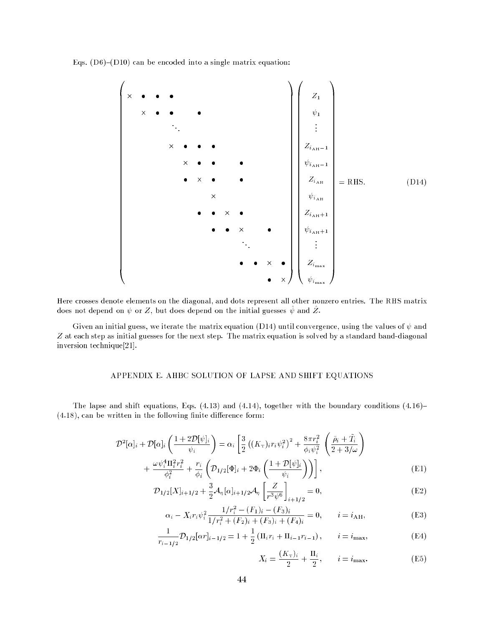Eqs.  $(D6)-(D10)$  can be encoded into a single matrix equation:



Here crosses denote elements on the diagonal, and dots represent all other nonzero entries. The RHS matrix does not depend on  $\psi$  or Z, but does depend on the initial guesses  $\bar{\psi}$  and Z.

Given an initial guess, we iterate the matrix equation (D14) until convergence, using the values of  $\psi$  and Z at each step as initial guesses for the next step. The matrix equation is solved by a standard band-diagonal inversion technique[21].

# APPENDIX E. AHBC SOLUTION OF LAPSE AND SHIFT EQUATIONS

The lapse and shift equations, Eqs.  $(4.13)$  and  $(4.14)$ , together with the boundary conditions  $(4.16)$  $(4.18)$ , can be written in the following finite difference form:

$$
\mathcal{D}^2[\alpha]_i + \mathcal{D}[\alpha]_i \left( \frac{1+2\mathcal{D}[\psi]_i}{\psi_i} \right) = \alpha_i \left[ \frac{3}{2} \left( (K_\text{T})_i r_i \psi_i^2 \right)^2 + \frac{8\pi r_i^2}{\phi_i \psi_i^2} \left( \frac{\tilde{\rho}_i + \tilde{T}_i}{2+3/\omega} \right) + \frac{\omega \psi_i^4 \Pi_i^2 r_i^2}{\phi_i^2} + \frac{r_i}{\phi_i} \left( \mathcal{D}_{1/2}[\Phi]_i + 2\Phi_i \left( \frac{1+\mathcal{D}[\psi]_i}{\psi_i} \right) \right) \right],
$$
\n(E1)

$$
\mathcal{D}_{1/2}[X]_{i+1/2} + \frac{3}{2}\mathcal{A}_{\eta}[\alpha]_{i+1/2}\mathcal{A}_{\eta}\left[\frac{Z}{r^3\psi^6}\right]_{i+1/2} = 0,
$$
\n(E2)

$$
\alpha_i - X_i r_i \psi_i^2 \frac{1/r_i^2 - (F_1)_i - (F_3)_i}{1/r_i^2 + (F_2)_i + (F_3)_i + (F_4)_i} = 0, \qquad i = i_{\text{AH}},
$$
 (E3)

$$
\frac{1}{r_{i-1/2}} \mathcal{D}_{1/2}[\alpha r]_{i-1/2} = 1 + \frac{1}{2} \left( \Pi_i r_i + \Pi_{i-1} r_{i-1} \right), \qquad i = i_{\text{max}},
$$
(E4)

$$
X_i = \frac{(K_{\mathrm{T}})_i}{2} + \frac{\Pi_i}{2}, \qquad i = i_{\text{max}}.\tag{E5}
$$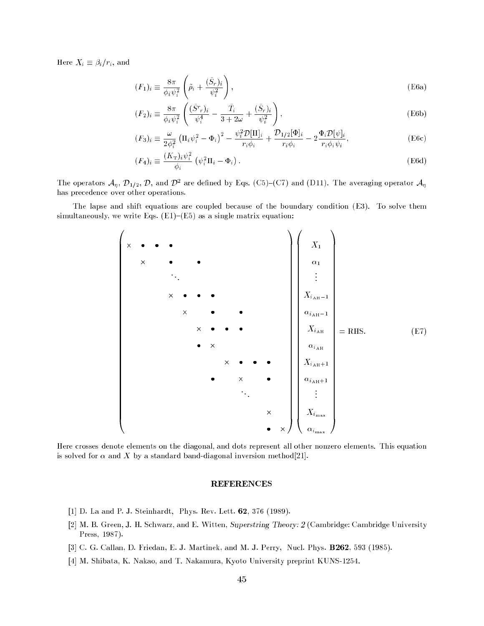$\cdots$  is a set  $\cdots$  if  $\cdots$  is and  $\cdots$ 

$$
(F_1)_i \equiv \frac{8\pi}{\phi_i \psi_i^2} \left( \tilde{\rho}_i + \frac{(\tilde{S}_r)_i}{\psi_i^2} \right),
$$
\n(E6a)

$$
(F_2)_i \equiv \frac{8\pi}{\phi_i \psi_i^2} \left( \frac{(\tilde{S}^r r)_i}{\psi_i^4} - \frac{\tilde{T}_i}{3 + 2\omega} + \frac{(\tilde{S}_r)_i}{\psi_i^2} \right),\tag{E6b}
$$

$$
(F_3)_i \equiv \frac{\omega}{2\phi_i^2} \left(\Pi_i \psi_i^2 - \Phi_i\right)^2 - \frac{\psi_i^2 \mathcal{D}[\Pi]_i}{r_i \phi_i} + \frac{\mathcal{D}_{1/2}[\Phi]_i}{r_i \phi_i} - 2\frac{\Phi_i \mathcal{D}[\psi]_i}{r_i \phi_i \psi_i},\tag{E6c}
$$

$$
(F_4)_i \equiv \frac{(K_{\rm T})_i \psi_i^2}{\phi_i} \left( \psi_i^2 \Pi_i - \Phi_i \right). \tag{E6d}
$$

The operators  $\mathcal{A}_n$ ,  $\mathcal{D}_{1/2}$ ,  $\mathcal{D}$ , and  $\mathcal{D}^2$  are defined by Eqs. (C5)-(C7) and (D11). The averaging operator  $\mathcal{A}_n$ has precedence over other operations.

The lapse and shift equations are coupled because of the boundary condition (E3). To solve them simultaneously, we write Eqs.  $(E1)-(E5)$  as a single matrix equation:



Here crosses denote elements on the diagonal, and dots represent all other nonzero elements. This equation is solved for  $\alpha$  and X by a standard band-diagonal inversion method[21].

# **REFERENCES**

- [1] D. La and P. J. Steinhardt, Phys. Rev. Lett.  $62$ , 376 (1989).
- [2] M. B. Green, J. H. Schwarz, and E. Witten, Superstring Theory: 2 (Cambridge: Cambridge University Press, 1987).
- [3] C. G. Callan, D. Friedan, E. J. Martinek, and M. J. Perry, Nucl. Phys. B262, 593 (1985).
- [4] M. Shibata, K. Nakao, and T. Nakamura, Kyoto University preprint KUNS-1254.